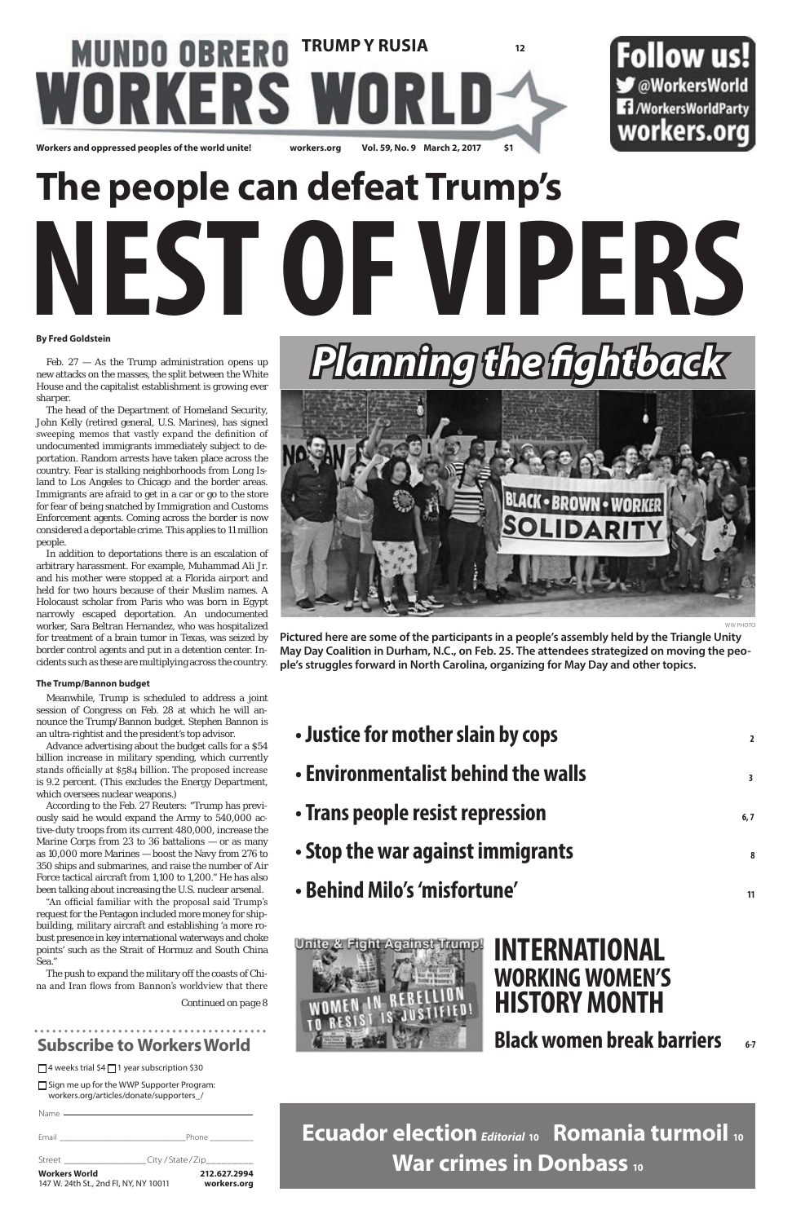□ Sign me up for the WWP Supporter Program: workers.org/articles/donate/supporters\_/

| <b>Workers World</b><br>147 W. 24th St., 2nd Fl, NY, NY 10011 | 212.627.2994<br>workers.org   |
|---------------------------------------------------------------|-------------------------------|
| Street <b>Street</b>                                          | _City / State / Zip__________ |
|                                                               | Phone ________                |
|                                                               |                               |



Feb.  $27 - As$  the Trump administration opens up new attacks on the masses, the split between the White House and the capitalist establishment is growing ever sharper.

### **Subscribe to Workers World**

 $\Box$  4 weeks trial \$4 $\Box$  1 year subscription \$30

*Continued on page 8*

#### **By Fred Goldstein**

The head of the Department of Homeland Security, John Kelly (retired general, U.S. Marines), has signed sweeping memos that vastly expand the definition of undocumented immigrants immediately subject to deportation. Random arrests have taken place across the country. Fear is stalking neighborhoods from Long Island to Los Angeles to Chicago and the border areas. Immigrants are afraid to get in a car or go to the store for fear of being snatched by Immigration and Customs Enforcement agents. Coming across the border is now considered a deportable crime. This applies to 11 million people.

In addition to deportations there is an escalation of arbitrary harassment. For example, Muhammad Ali Jr. and his mother were stopped at a Florida airport and held for two hours because of their Muslim names. A Holocaust scholar from Paris who was born in Egypt narrowly escaped deportation. An undocumented worker, Sara Beltran Hernandez, who was hospitalized for treatment of a brain tumor in Texas, was seized by border control agents and put in a detention center. Incidents such as these are multiplying across the country.

| • Justice for mother slain by cops  | $\overline{2}$ |
|-------------------------------------|----------------|
| • Environmentalist behind the walls | 3              |
| • Trans people resist repression    | 6, 7           |
| • Stop the war against immigrants   | 8              |
| • Behind Milo's 'misfortune'        |                |

#### **The Trump/Bannon budget**

Meanwhile, Trump is scheduled to address a joint session of Congress on Feb. 28 at which he will announce the Trump/Bannon budget. Stephen Bannon is an ultra-rightist and the president's top advisor.

Advance advertising about the budget calls for a \$54 billion increase in military spending, which currently stands officially at \$584 billion. The proposed increase is 9.2 percent. (This excludes the Energy Department, which oversees nuclear weapons.)

According to the Feb. 27 Reuters: "Trump has previously said he would expand the Army to 540,000 active-duty troops from its current 480,000, increase the Marine Corps from 23 to 36 battalions — or as many as 10,000 more Marines — boost the Navy from 276 to 350 ships and submarines, and raise the number of Air Force tactical aircraft from 1,100 to 1,200." He has also been talking about increasing the U.S. nuclear arsenal. "An official familiar with the proposal said Trump's request for the Pentagon included more money for shipbuilding, military aircraft and establishing 'a more robust presence in key international waterways and choke points' such as the Strait of Hormuz and South China Sea."

The push to expand the military off the coasts of China and Iran flows from Bannon's worldview that there

### **MUNDO OBRERO TRUMP Y RUSIA 12** nRKI RS W Workers and oppressed peoples of the world unite! workers.org Vol. 59, No. 9 March 2, 2017 S1



# **The people can defeat Trump's NEST OF VIPERS**

### **Ecuador election***Editorial* **10 Romania turmoil <sup>10</sup> War crimes in Donbass <sup>10</sup>**

# **INTERNATIONAL WORKING WOMEN'S HISTORY MONTH**

### **Black women break barriers** 6-7



WW PHOTO

**Pictured here are some of the participants in a people's assembly held by the Triangle Unity May Day Coalition in Durham, N.C., on Feb. 25. The attendees strategized on moving the people's struggles forward in North Carolina, organizing for May Day and other topics.**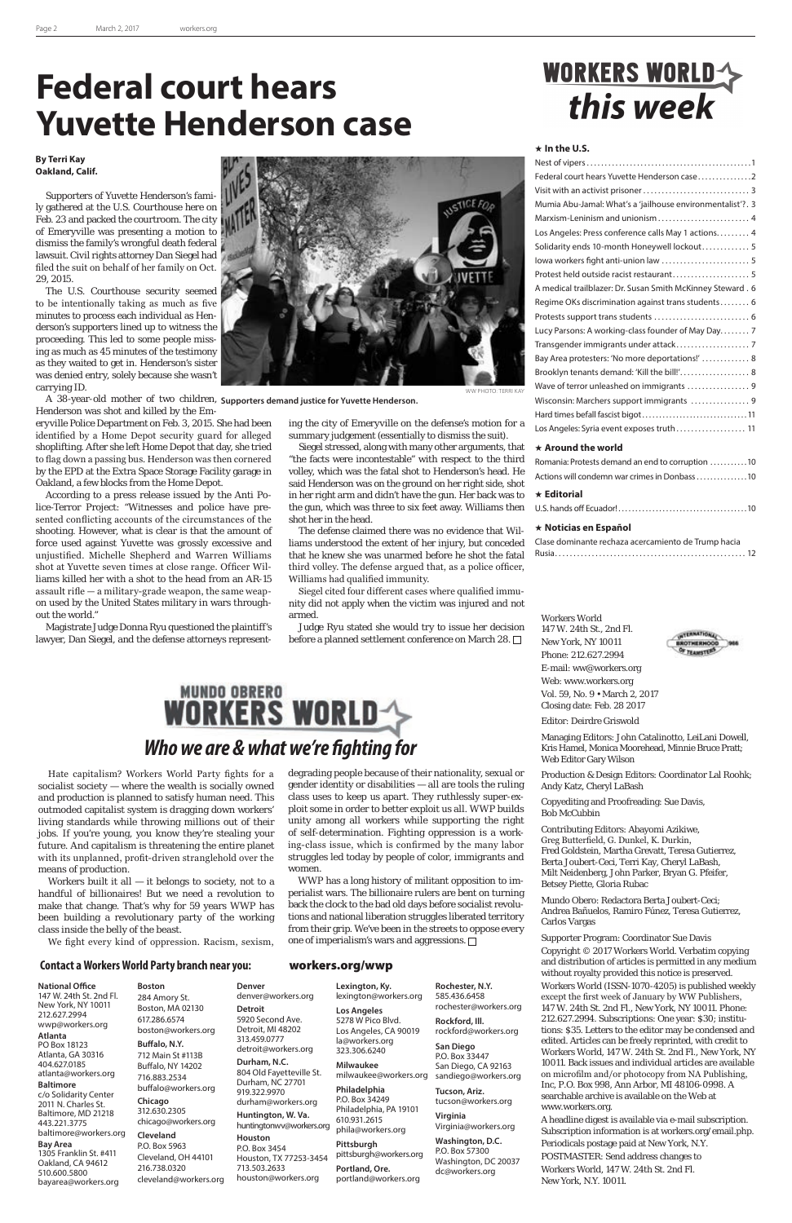#### **Contact a Workers World Party branch near you:** workers.org/wwp



Workers built it all  $-$  it belongs to society, not to a handful of billionaires! But we need a revolution to

Hate capitalism? Workers World Party fights for a socialist society — where the wealth is socially owned and production is planned to satisfy human need. This outmoded capitalist system is dragging down workers' living standards while throwing millions out of their jobs. If you're young, you know they're stealing your future. And capitalism is threatening the entire planet with its unplanned, profit-driven stranglehold over the means of production.

> back the clock to the bad old days before socialist revolutions and national liberation struggles liberated territory from their grip. We've been in the streets to oppose every one of imperialism's wars and aggressions.  $\Box$

make that change. That's why for 59 years WWP has been building a revolutionary party of the working class inside the belly of the beast.

We fight every kind of oppression. Racism, sexism,

degrading people because of their nationality, sexual or gender identity or disabilities — all are tools the ruling class uses to keep us apart. They ruthlessly super-exploit some in order to better exploit us all. WWP builds unity among all workers while supporting the right of self-determination. Fighting oppression is a working-class issue, which is confirmed by the many labor struggles led today by people of color, immigrants and women.

WWP has a long history of militant opposition to imperialist wars. The billionaire rulers are bent on turning

# WORKERS WORLD

| Federal court hears Yuvette Henderson case2                |
|------------------------------------------------------------|
|                                                            |
| Mumia Abu-Jamal: What's a 'jailhouse environmentalist'?. 3 |
| Marxism-Leninism and unionism 4                            |
| Los Angeles: Press conference calls May 1 actions 4        |
| Solidarity ends 10-month Honeywell lockout 5               |
|                                                            |
| Protest held outside racist restaurant 5                   |
| A medical trailblazer: Dr. Susan Smith McKinney Steward. 6 |
| Regime OKs discrimination against trans students 6         |
|                                                            |
| Lucy Parsons: A working-class founder of May Day 7         |
|                                                            |
| Bay Area protesters: 'No more deportations!'  8            |
| Brooklyn tenants demand: 'Kill the bill!' 8                |
| Wave of terror unleashed on immigrants  9                  |
| Wisconsin: Marchers support immigrants  9                  |
|                                                            |
| Los Angeles: Syria event exposes truth 11                  |
| الماسمين والمالة المستحقين فالباب                          |

#### **National Office**

147 W. 24th St. 2nd Fl. New York, NY 10011 212.627.2994 wwp@workers.org **Atlanta** PO Box 18123 Atlanta, GA 30316 404.627.0185 atlanta@workers.org

#### **Baltimore**

c/o Solidarity Center 2011 N. Charles St. Baltimore, MD 21218 443.221.3775 baltimore@workers.org

#### **Bay Area**

1305 Franklin St. #411 Oakland, CA 94612 510.600.5800 bayarea@workers.org

**Boston** 284 Amory St. Boston, MA 02130 617.286.6574 boston@workers.org **Buffalo, N.Y.** 712 Main St #113B Buffalo, NY 14202 716.883.2534 buffalo@workers.org **Chicago** 312.630.2305 chicago@workers.org **Cleveland** P.O. Box 5963 Cleveland, OH 44101 216.738.0320

cleveland@workers.org

**Denver**

**Detroit**

**Houston**

denver@workers.org 5920 Second Ave. Detroit, MI 48202 313.459.0777 detroit@workers.org **Durham, N.C.** 804 Old Fayetteville St. Durham, NC 27701 919.322.9970 durham@workers.org **Huntington, W. Va.** huntingtonwv@workers.org P.O. Box 3454 Houston, TX 77253-3454 713.503.2633 houston@workers.org **Lexington, Ky.** lexington@workers.org **Los Angeles** 5278 W Pico Blvd. Los Angeles, CA 90019 la@workers.org 323.306.6240 **Milwaukee** milwaukee@workers.org **Philadelphia**  P.O. Box 34249 Philadelphia, PA 19101 610.931.2615 phila@workers.org **Pittsburgh** pittsburgh@workers.org **Portland, Ore.** portland@workers.org sandiego@workers.org

**Rochester, N.Y.** 585.436.6458 rochester@workers.org **Rockford, Ill.** rockford@workers.org **San Diego** P.O. Box 33447 San Diego, CA 92163

**Tucson, Ariz.** tucson@workers.org **Virginia** 

Virginia@workers.org

**Washington, D.C.** P.O. Box 57300 Washington, DC 20037 dc@workers.org

#### **In the U.S.**

Judge Ryu stated she would try to issue her decision before a planned settlement conference on March 28.

| Romania: Protests demand an end to corruption 10 |
|--------------------------------------------------|
| Actions will condemn war crimes in Donbass 10    |
| $\star$ Editorial                                |
|                                                  |
|                                                  |

#### **Noticias en Español**

| Clase dominante rechaza acercamiento de Trump hacia |  |
|-----------------------------------------------------|--|
|                                                     |  |

Workers World 147 W. 24th St., 2nd Fl. New York, NY 10011 Phone: 212.627.2994 E-mail: ww@workers.org Web: www.workers.org Vol. 59, No. 9 • March 2, 2017 Closing date: Feb. 28 2017



Managing Editors: John Catalinotto, LeiLani Dowell, Kris Hamel, Monica Moorehead, Minnie Bruce Pratt; Web Editor Gary Wilson

Production & Design Editors: Coordinator Lal Roohk; Andy Katz, Cheryl LaBash

Copyediting and Proofreading: Sue Davis, Bob McCubbin

Contributing Editors: Abayomi Azikiwe, Greg Butterfield, G. Dunkel, K. Durkin, Fred Goldstein, Martha Grevatt, Teresa Gutierrez, Berta Joubert-Ceci, Terri Kay, Cheryl LaBash, Milt Neidenberg, John Parker, Bryan G. Pfeifer, Betsey Piette, Gloria Rubac

Mundo Obero: Redactora Berta Joubert-Ceci; Andrea Bañuelos, Ramiro Fúnez, Teresa Gutierrez, Carlos Vargas



#### Supporter Program: Coordinator Sue Davis

Copyright © 2017 Workers World. Verbatim copying and distribution of articles is permitted in any medium without royalty provided this notice is preserved. Workers World (ISSN-1070-4205) is published weekly except the first week of January by WW Publishers, 147 W. 24th St. 2nd Fl., New York, NY 10011. Phone: 212.627.2994. Subscriptions: One year: \$30; institutions: \$35. Letters to the editor may be condensed and edited. Articles can be freely reprinted, with credit to Workers World, 147 W. 24th St. 2nd Fl., New York, NY 10011. Back issues and individual articles are available on microfilm and/or photocopy from NA Publishing, Inc, P.O. Box 998, Ann Arbor, MI 48106-0998. A searchable archive is available on the Web at www.workers.org.

A headline digest is available via e-mail subscription. Subscription information is at workers.org/email.php.

Periodicals postage paid at New York, N.Y. POSTMASTER: Send address changes to Workers World, 147 W. 24th St. 2nd Fl. New York, N.Y. 10011.

 **Around the world** Siegel stressed, along with many other arguments, that "the facts were incontestable" with respect to the third volley, which was the fatal shot to Henderson's head. He said Henderson was on the ground on her right side, shot in her right arm and didn't have the gun. Her back was to the gun, which was three to six feet away. Williams then shot her in the head.

#### **By Terri Kay Oakland, Calif.**

Supporters of Yuvette Henderson's family gathered at the U.S. Courthouse here on Feb. 23 and packed the courtroom. The city of Emeryville was presenting a motion to dismiss the family's wrongful death federal lawsuit. Civil rights attorney Dan Siegel had filed the suit on behalf of her family on Oct. 29, 2015.

The U.S. Courthouse security seemed to be intentionally taking as much as five minutes to process each individual as Henderson's supporters lined up to witness the proceeding. This led to some people missing as much as 45 minutes of the testimony as they waited to get in. Henderson's sister was denied entry, solely because she wasn't carrying ID.

A 38-year-old mother of two children, **Supporters demand justice for Yuvette Henderson.**Henderson was shot and killed by the Em-

eryville Police Department on Feb. 3, 2015. She had been identified by a Home Depot security guard for alleged shoplifting. After she left Home Depot that day, she tried to flag down a passing bus. Henderson was then cornered by the EPD at the Extra Space Storage Facility garage in Oakland, a few blocks from the Home Depot.

According to a press release issued by the Anti Police-Terror Project: "Witnesses and police have presented conflicting accounts of the circumstances of the shooting. However, what is clear is that the amount of force used against Yuvette was grossly excessive and unjustified. Michelle Shepherd and Warren Williams shot at Yuvette seven times at close range. Officer Williams killed her with a shot to the head from an AR-15 assault rifle — a military-grade weapon, the same weapon used by the United States military in wars throughout the world."

Magistrate Judge Donna Ryu questioned the plaintiff's lawyer, Dan Siegel, and the defense attorneys represent-

### **Federal court hears Yuvette Henderson case**

ing the city of Emeryville on the defense's motion for a summary judgement (essentially to dismiss the suit).

The defense claimed there was no evidence that Williams understood the extent of her injury, but conceded that he knew she was unarmed before he shot the fatal third volley. The defense argued that, as a police officer, Williams had qualified immunity.

Siegel cited four different cases where qualified immunity did not apply when the victim was injured and not armed.

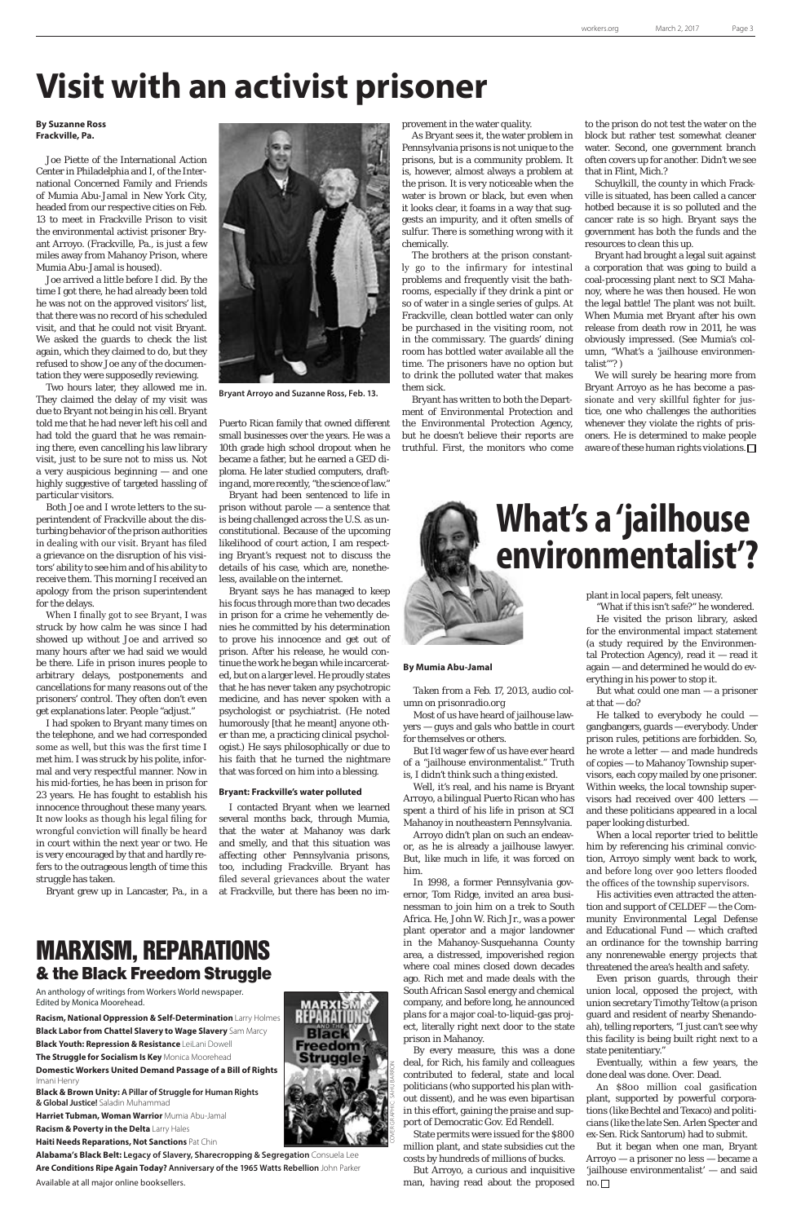#### **By Suzanne Ross Frackville, Pa.**

Joe Piette of the International Action Center in Philadelphia and I, of the International Concerned Family and Friends of Mumia Abu-Jamal in New York City, headed from our respective cities on Feb. 13 to meet in Frackville Prison to visit the environmental activist prisoner Bryant Arroyo. (Frackville, Pa., is just a few miles away from Mahanoy Prison, where Mumia Abu-Jamal is housed).

Joe arrived a little before I did. By the time I got there, he had already been told he was not on the approved visitors' list, that there was no record of his scheduled visit, and that he could not visit Bryant. We asked the guards to check the list again, which they claimed to do, but they refused to show Joe any of the documentation they were supposedly reviewing.

Two hours later, they allowed me in. They claimed the delay of my visit was due to Bryant not being in his cell. Bryant told me that he had never left his cell and had told the guard that he was remaining there, even cancelling his law library visit, just to be sure not to miss us. Not a very auspicious beginning — and one highly suggestive of targeted hassling of particular visitors.

Both Joe and I wrote letters to the superintendent of Frackville about the disturbing behavior of the prison authorities in dealing with our visit. Bryant has filed a grievance on the disruption of his visitors' ability to see him and of his ability to receive them. This morning I received an apology from the prison superintendent for the delays.

When I finally got to see Bryant, I was struck by how calm he was since I had showed up without Joe and arrived so many hours after we had said we would be there. Life in prison inures people to arbitrary delays, postponements and cancellations for many reasons out of the prisoners' control. They often don't even get explanations later. People "adjust."

I had spoken to Bryant many times on the telephone, and we had corresponded some as well, but this was the first time I met him. I was struck by his polite, informal and very respectful manner. Now in his mid-forties, he has been in prison for 23 years. He has fought to establish his innocence throughout these many years. It now looks as though his legal filing for wrongful conviction will finally be heard in court within the next year or two. He is very encouraged by that and hardly refers to the outrageous length of time this struggle has taken.

Bryant grew up in Lancaster, Pa., in a

Puerto Rican family that owned different small businesses over the years. He was a 10th grade high school dropout when he became a father, but he earned a GED diploma. He later studied computers, drafting and, more recently, "the science of law."

Bryant had been sentenced to life in prison without parole — a sentence that is being challenged across the U.S. as unconstitutional. Because of the upcoming likelihood of court action, I am respecting Bryant's request not to discuss the details of his case, which are, nonetheless, available on the internet.

Bryant says he has managed to keep his focus through more than two decades in prison for a crime he vehemently denies he committed by his determination to prove his innocence and get out of prison. After his release, he would continue the work he began while incarcerated, but on a larger level. He proudly states that he has never taken any psychotropic medicine, and has never spoken with a psychologist or psychiatrist. (He noted humorously [that he meant] anyone other than me, a practicing clinical psychologist.) He says philosophically or due to his faith that he turned the nightmare that was forced on him into a blessing.

#### **Bryant: Frackville's water polluted**

I contacted Bryant when we learned several months back, through Mumia, that the water at Mahanoy was dark and smelly, and that this situation was affecting other Pennsylvania prisons, too, including Frackville. Bryant has filed several grievances about the water at Frackville, but there has been no im-

But what could one man — a prisoner at that  $-\text{do?}$ 

# **Visit with an activist prisoner**

provement in the water quality.

As Bryant sees it, the water problem in Pennsylvania prisons is not unique to the prisons, but is a community problem. It is, however, almost always a problem at the prison. It is very noticeable when the water is brown or black, but even when it looks clear, it foams in a way that suggests an impurity, and it often smells of sulfur. There is something wrong with it chemically.

The brothers at the prison constantly go to the infirmary for intestinal problems and frequently visit the bathrooms, especially if they drink a pint or so of water in a single series of gulps. At Frackville, clean bottled water can only be purchased in the visiting room, not in the commissary. The guards' dining room has bottled water available all the time. The prisoners have no option but to drink the polluted water that makes them sick.

> But it began when one man, Bryant Arroyo — a prisoner no less — became a 'jailhouse environmentalist' — and said  $no.$

Bryant has written to both the Department of Environmental Protection and the Environmental Protection Agency, but he doesn't believe their reports are truthful. First, the monitors who come to the prison do not test the water on the block but rather test somewhat cleaner water. Second, one government branch often covers up for another. Didn't we see that in Flint, Mich.?

Schuylkill, the county in which Frackville is situated, has been called a cancer hotbed because it is so polluted and the cancer rate is so high. Bryant says the government has both the funds and the resources to clean this up.

Bryant had brought a legal suit against a corporation that was going to build a coal-processing plant next to SCI Mahanoy, where he was then housed. He won the legal battle! The plant was not built. When Mumia met Bryant after his own release from death row in 2011, he was obviously impressed. (See Mumia's column, "What's a 'jailhouse environmentalist'"? )

We will surely be hearing more from Bryant Arroyo as he has become a passionate and very skillful fighter for justice, one who challenges the authorities whenever they violate the rights of prisoners. He is determined to make people aware of these human rights violations.



**Bryant Arroyo and Suzanne Ross, Feb. 13.**

**By Mumia Abu-Jamal**

*Taken from a Feb. 17, 2013, audio col-*

*umn on prisonradio.org*

Most of us have heard of jailhouse lawyers — guys and gals who battle in court

for themselves or others.

But I'd wager few of us have ever heard of a "jailhouse environmentalist." Truth is, I didn't think such a thing existed. Well, it's real, and his name is Bryant Arroyo, a bilingual Puerto Rican who has spent a third of his life in prison at SCI Mahanoy in noutheastern Pennsylvania. Arroyo didn't plan on such an endeavor, as he is already a jailhouse lawyer. But, like much in life, it was forced on

him.

In 1998, a former Pennsylvania gov-

ernor, Tom Ridge, invited an area busi-

nessman to join him on a trek to South Africa. He, John W. Rich Jr., was a power plant operator and a major landowner in the Mahanoy-Susquehanna County area, a distressed, impoverished region where coal mines closed down decades ago. Rich met and made deals with the South African Sasol energy and chemical company, and before long, he announced plans for a major coal-to-liquid-gas project, literally right next door to the state prison in Mahanoy.

By every measure, this was a done deal, for Rich, his family and colleagues contributed to federal, state and local politicians (who supported his plan without dissent), and he was even bipartisan in this effort, gaining the praise and support of Democratic Gov. Ed Rendell.

State permits were issued for the \$800 million plant, and state subsidies cut the costs by hundreds of millions of bucks.

But Arroyo, a curious and inquisitive man, having read about the proposed plant in local papers, felt uneasy.

"What if this isn't safe?" he wondered. He visited the prison library, asked for the environmental impact statement (a study required by the Environmental Protection Agency), read it — read it again — and determined he would do everything in his power to stop it.

He talked to everybody he could gangbangers, guards — everybody. Under prison rules, petitions are forbidden. So, he wrote a letter — and made hundreds of copies — to Mahanoy Township supervisors, each copy mailed by one prisoner. Within weeks, the local township supervisors had received over 400 letters and these politicians appeared in a local paper looking disturbed.

When a local reporter tried to belittle him by referencing his criminal conviction, Arroyo simply went back to work, and before long over 900 letters flooded the offices of the township supervisors.

His activities even attracted the atten-

tion and support of CELDEF — the Community Environmental Legal Defense and Educational Fund — which crafted an ordinance for the township barring any nonrenewable energy projects that threatened the area's health and safety.

Even prison guards, through their union local, opposed the project, with union secretary Timothy Teltow (a prison guard and resident of nearby Shenandoah), telling reporters, "I just can't see why this facility is being built right next to a state penitentiary."

Eventually, within a few years, the done deal was done. Over. Dead.

An \$800 million coal gasification plant, supported by powerful corporations (like Bechtel and Texaco) and politicians (like the late Sen. Arlen Specter and ex-Sen. Rick Santorum) had to submit.

# **What's a 'jailhouse environmentalist'?**

### MARXISM, REPARATIONS & the Black Freedom Struggle

An anthology of writings from Workers World newspaper. Edited by Monica Moorehead.

**Racism, National Oppression & Self-Determination** Larry Holmes **Black Labor from Chattel Slavery to Wage Slavery** Sam Marcy **Black Youth: Repression & Resistance** LeiLani Dowell **The Struggle for Socialism Is Key** Monica Moorehead **Domestic Workers United Demand Passage of a Bill of Rights** Imani Henry

**Black & Brown Unity: A Pillar of Struggle for Human Rights & Global Justice!** Saladin Muhammad

**Harriet Tubman, Woman Warrior** Mumia Abu-Jamal **Racism & Poverty in the Delta** Larry Hales

**Haiti Needs Reparations, Not Sanctions** Pat Chin

**Alabama's Black Belt: Legacy of Slavery, Sharecropping & Segregation** Consuela Lee **Are Conditions Ripe Again Today? Anniversary of the 1965 Watts Rebellion** John Parker Available at all major online booksellers.

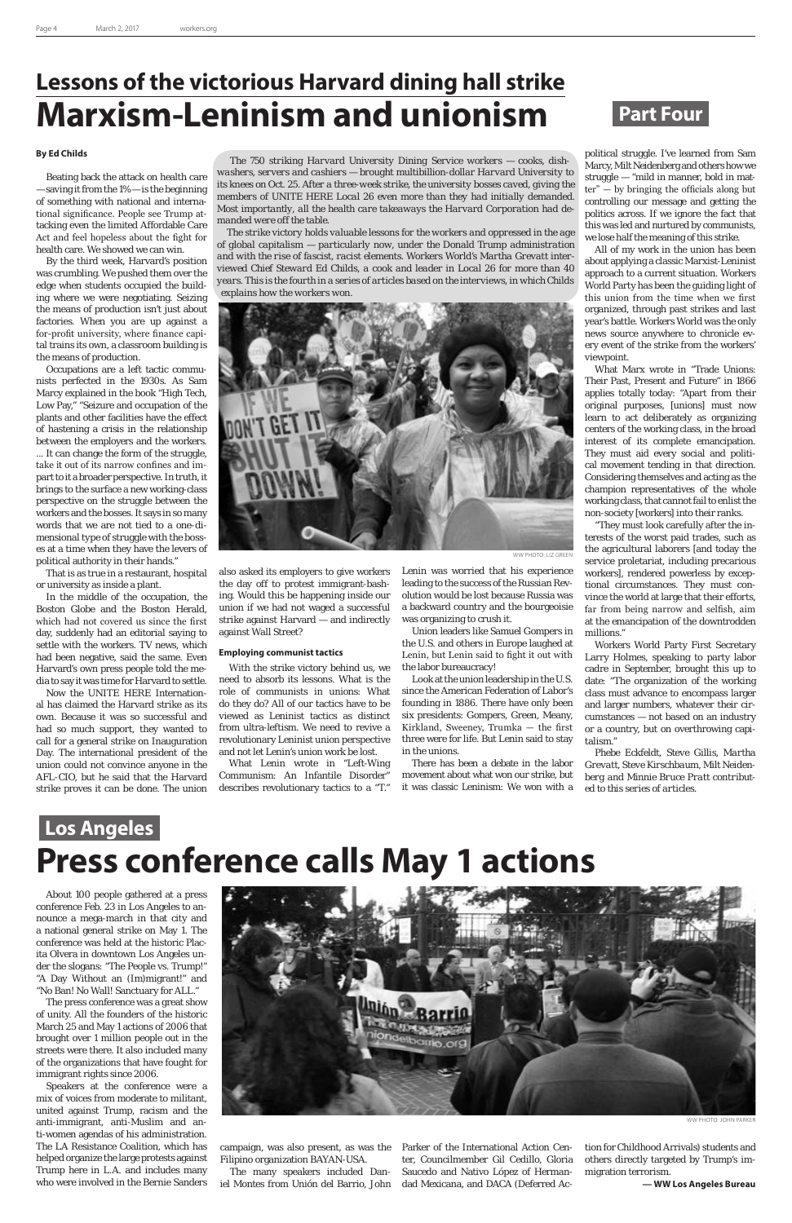#### **By Ed Childs**

Beating back the attack on health care — saving it from the 1% — is the beginning of something with national and international significance. People see Trump attacking even the limited Affordable Care Act and feel hopeless about the fight for health care. We showed we can win.

By the third week, Harvard's position was crumbling. We pushed them over the edge when students occupied the building where we were negotiating. Seizing the means of production isn't just about factories. When you are up against a for-profit university, where finance capital trains its own, a classroom building is the means of production.

Occupations are a left tactic communists perfected in the 1930s. As Sam Marcy explained in the book "High Tech, Low Pay," "Seizure and occupation of the plants and other facilities have the effect of hastening a crisis in the relationship between the employers and the workers. ... It can change the form of the struggle, take it out of its narrow confines and impart to it a broader perspective. In truth, it brings to the surface a new working-class perspective on the struggle between the workers and the bosses. It says in so many words that we are not tied to a one-dimensional type of struggle with the bosses at a time when they have the levers of political authority in their hands."

That is as true in a restaurant, hospital or university as inside a plant.

In the middle of the occupation, the Boston Globe and the Boston Herald, which had not covered us since the first day, suddenly had an editorial saying to settle with the workers. TV news, which had been negative, said the same. Even Harvard's own press people told the media to say it was time for Harvard to settle.

Now the UNITE HERE International has claimed the Harvard strike as its own. Because it was so successful and had so much support, they wanted to call for a general strike on Inauguration Day. The international president of the union could not convince anyone in the AFL-CIO, but he said that the Harvard strike proves it can be done. The union

also asked its employers to give workers the day off to protest immigrant-bashing. Would this be happening inside our union if we had not waged a successful strike against Harvard — and indirectly against Wall Street?

#### **Employing communist tactics**

With the strike victory behind us, we need to absorb its lessons. What is the role of communists in unions: What do they do? All of our tactics have to be viewed as Leninist tactics as distinct from ultra-leftism. We need to revive a revolutionary Leninist union perspective and not let Lenin's union work be lost.

What Lenin wrote in "Left-Wing Communism: An Infantile Disorder" describes revolutionary tactics to a "T."

conference Feb. 23 in Los Angeles to announce a mega-march in that city and a national general strike on May 1. The conference was held at the historic Placita Olvera in downtown Los Angeles under the slogans: "The People vs. Trump!" "A Day Without an (Im)migrant!" and "No Ban! No Wall! Sanctuary for ALL."

The press conference was a great show of unity. All the founders of the historic March 25 and May 1 actions of 2006 that brought over 1 million people out in the streets were there. It also included many of the organizations that have fought for immigrant rights since 2006.

Speakers at the conference were a mix of voices from moderate to militant, united against Trump, racism and the anti-immigrant, anti-Muslim and anti-women agendas of his administration. The LA Resistance Coalition, which has helped organize the large protests against Trump here in L.A. and includes many who were involved in the Bernie Sanders

### **Lessons of the victorious Harvard dining hall strike Marxism-Leninism and unionism Part Four**

*The 750 striking Harvard University Dining Service workers — cooks, dishwashers, servers and cashiers — brought multibillion-dollar Harvard University to its knees on Oct. 25. After a three-week strike, the university bosses caved, giving the members of UNITE HERE Local 26 even more than they had initially demanded. Most importantly, all the health care takeaways the Harvard Corporation had demanded were off the table.*

*The strike victory holds valuable lessons for the workers and oppressed in the age of global capitalism — particularly now, under the Donald Trump administration and with the rise of fascist, racist elements. Workers World's Martha Grevatt interviewed Chief Steward Ed Childs, a cook and leader in Local 26 for more than 40 years. This is the fourth in a series of articles based on the interviews, in which Childs explains how the workers won.*

> Lenin was worried that his experience leading to the success of the Russian Revolution would be lost because Russia was a backward country and the bourgeoisie was organizing to crush it.

> Union leaders like Samuel Gompers in the U.S. and others in Europe laughed at Lenin, but Lenin said to fight it out with the labor bureaucracy!

> Look at the union leadership in the U.S. since the American Federation of Labor's founding in 1886. There have only been six presidents: Gompers, Green, Meany, Kirkland, Sweeney, Trumka — the first three were for life. But Lenin said to stay in the unions.

> There has been a debate in the labor movement about what won our strike, but it was classic Leninism: We won with a

political struggle. I've learned from Sam Marcy, Milt Neidenberg and others how we struggle — "mild in manner, bold in matter" — by bringing the officials along but controlling our message and getting the politics across. If we ignore the fact that this was led and nurtured by communists, we lose half the meaning of this strike.

All of my work in the union has been about applying a classic Marxist-Leninist approach to a current situation. Workers World Party has been the guiding light of this union from the time when we first organized, through past strikes and last year's battle. Workers World was the only news source anywhere to chronicle every event of the strike from the workers' viewpoint.

What Marx wrote in "Trade Unions: Their Past, Present and Future" in 1866 applies totally today: "Apart from their original purposes, [unions] must now learn to act deliberately as organizing centers of the working class, in the broad interest of its complete emancipation. They must aid every social and political movement tending in that direction. Considering themselves and acting as the champion representatives of the whole working class, that cannot fail to enlist the non-society [workers] into their ranks.

"They must look carefully after the interests of the worst paid trades, such as the agricultural laborers [and today the service proletariat, including precarious workers], rendered powerless by exceptional circumstances. They must convince the world at large that their efforts, far from being narrow and selfish, aim at the emancipation of the downtrodden millions."

Workers World Party First Secretary Larry Holmes, speaking to party labor cadre in September, brought this up to date: "The organization of the working class must advance to encompass larger and larger numbers, whatever their circumstances — not based on an industry or a country, but on overthrowing capitalism."

*Phebe Eckfeldt, Steve Gillis, Martha Grevatt, Steve Kirschbaum, Milt Neidenberg and Minnie Bruce Pratt contributed to this series of articles.*

### **Los Angeles Press conference calls May 1 actions**

About 100 people gathered at a press

campaign, was also present, as was the Filipino organization BAYAN-USA.

The many speakers included Daniel Montes from Unión del Barrio, John Parker of the International Action Center, Councilmember Gil Cedillo, Gloria Saucedo and Nativo López of Hermandad Mexicana, and DACA (Deferred Action for Childhood Arrivals) students and others directly targeted by Trump's immigration terrorism.

**— WW Los Angeles Bureau**



WW PHOTO: JOHN PARKER

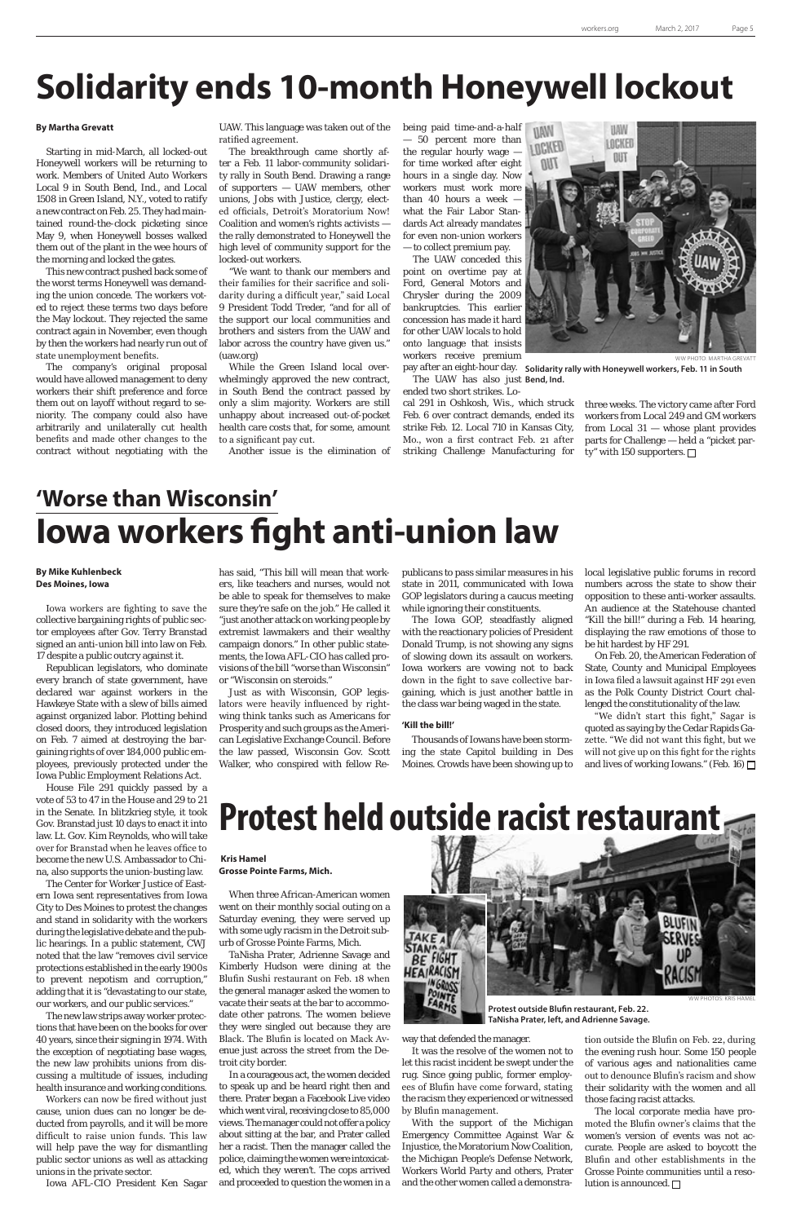#### **By Martha Grevatt**

Starting in mid-March, all locked-out Honeywell workers will be returning to work. Members of United Auto Workers Local 9 in South Bend, Ind., and Local 1508 in Green Island, N.Y., voted to ratify a new contract on Feb. 25. They had maintained round-the-clock picketing since May 9, when Honeywell bosses walked them out of the plant in the wee hours of the morning and locked the gates.

This new contract pushed back some of the worst terms Honeywell was demanding the union concede. The workers voted to reject these terms two days before the May lockout. They rejected the same contract again in November, even though by then the workers had nearly run out of state unemployment benefits.

The company's original proposal would have allowed management to deny workers their shift preference and force them out on layoff without regard to seniority. The company could also have arbitrarily and unilaterally cut health benefits and made other changes to the contract without negotiating with the

#### **By Mike Kuhlenbeck Des Moines, Iowa**

Iowa workers are fighting to save the collective bargaining rights of public sector employees after Gov. Terry Branstad signed an anti-union bill into law on Feb. 17 despite a public outcry against it.

Republican legislators, who dominate every branch of state government, have declared war against workers in the Hawkeye State with a slew of bills aimed against organized labor. Plotting behind closed doors, they introduced legislation on Feb. 7 aimed at destroying the bargaining rights of over 184,000 public employees, previously protected under the Iowa Public Employment Relations Act.

House File 291 quickly passed by a vote of 53 to 47 in the House and 29 to 21 in the Senate. In blitzkrieg style, it took Gov. Branstad just 10 days to enact it into law. Lt. Gov. Kim Reynolds, who will take over for Branstad when he leaves office to become the new U.S. Ambassador to China, also supports the union-busting law.

The Center for Worker Justice of Eastern Iowa sent representatives from Iowa City to Des Moines to protest the changes and stand in solidarity with the workers during the legislative debate and the public hearings. In a public statement, CWJ noted that the law "removes civil service protections established in the early 1900s to prevent nepotism and corruption," adding that it is "devastating to our state, our workers, and our public services." The new law strips away worker protections that have been on the books for over 40 years, since their signing in 1974. With the exception of negotiating base wages, the new law prohibits unions from discussing a multitude of issues, including health insurance and working conditions. Workers can now be fired without just cause, union dues can no longer be deducted from payrolls, and it will be more difficult to raise union funds. This law will help pave the way for dismantling public sector unions as well as attacking unions in the private sector.



WW PHOTO: MARTHA GREVATT pay after an eight-hour day. Solidarity rally with Honeywell workers, Feb. 11 in South

three weeks. The victory came after Ford workers from Local 249 and GM workers from Local 31 — whose plant provides parts for Challenge — held a "picket party" with 150 supporters.  $\Box$ 

Iowa AFL-CIO President Ken Sagar

#### **Kris Hamel Grosse Pointe Farms, Mich.**

When three African-American women

went on their monthly social outing on a Saturday evening, they were served up with some ugly racism in the Detroit suburb of Grosse Pointe Farms, Mich.

TaNisha Prater, Adrienne Savage and Kimberly Hudson were dining at the Blufin Sushi restaurant on Feb. 18 when the general manager asked the women to vacate their seats at the bar to accommodate other patrons. The women believe they were singled out because they are Black. The Blufin is located on Mack Avenue just across the street from the Detroit city border.

In a courageous act, the women decided to speak up and be heard right then and there. Prater began a Facebook Live video which went viral, receiving close to 85,000 views. The manager could not offer a policy about sitting at the bar, and Prater called her a racist. Then the manager called the police, claiming the women were intoxicated, which they weren't. The cops arrived and proceeded to question the women in a

"We didn't start this fight," Sagar is quoted as saying by the Cedar Rapids Gazette. "We did not want this fight, but we will not give up on this fight for the rights and lives of working Iowans." (Feb. 16)  $\Box$ 

### **Solidarity ends 10-month Honeywell lockout**

UAW. This language was taken out of the ratified agreement.

The breakthrough came shortly after a Feb. 11 labor-community solidarity rally in South Bend. Drawing a range of supporters — UAW members, other unions, Jobs with Justice, clergy, elected officials, Detroit's Moratorium Now! Coalition and women's rights activists the rally demonstrated to Honeywell the high level of community support for the locked-out workers.

> The local corporate media have promoted the Blufin owner's claims that the women's version of events was not accurate. People are asked to boycott the Blufin and other establishments in the Grosse Pointe communities until a resolution is announced.  $\Box$

"We want to thank our members and their families for their sacrifice and solidarity during a difficult year," said Local 9 President Todd Treder, "and for all of the support our local communities and brothers and sisters from the UAW and labor across the country have given us." (uaw.org)

While the Green Island local overwhelmingly approved the new contract, in South Bend the contract passed by only a slim majority. Workers are still unhappy about increased out-of-pocket health care costs that, for some, amount to a significant pay cut.

Another issue is the elimination of

being paid time-and-a-half — 50 percent more than the regular hourly wage for time worked after eight hours in a single day. Now workers must work more than 40 hours a week what the Fair Labor Standards Act already mandates for even non-union workers — to collect premium pay.

The UAW conceded this point on overtime pay at Ford, General Motors and Chrysler during the 2009 bankruptcies. This earlier concession has made it hard for other UAW locals to hold onto language that insists workers receive premium

The UAW has also just Bend, Ind.

ended two short strikes. Local 291 in Oshkosh, Wis., which struck Feb. 6 over contract demands, ended its strike Feb. 12. Local 710 in Kansas City, Mo., won a first contract Feb. 21 after striking Challenge Manufacturing for

has said, "This bill will mean that workers, like teachers and nurses, would not be able to speak for themselves to make sure they're safe on the job." He called it "just another attack on working people by extremist lawmakers and their wealthy campaign donors." In other public statements, the Iowa AFL-CIO has called provisions of the bill "worse than Wisconsin" or "Wisconsin on steroids."

Just as with Wisconsin, GOP legislators were heavily influenced by rightwing think tanks such as Americans for Prosperity and such groups as the American Legislative Exchange Council. Before the law passed, Wisconsin Gov. Scott Walker, who conspired with fellow Republicans to pass similar measures in his state in 2011, communicated with Iowa GOP legislators during a caucus meeting while ignoring their constituents.

The Iowa GOP, steadfastly aligned with the reactionary policies of President Donald Trump, is not showing any signs of slowing down its assault on workers. Iowa workers are vowing not to back down in the fight to save collective bargaining, which is just another battle in the class war being waged in the state.

#### **'Kill the bill!'**

Thousands of Iowans have been storming the state Capitol building in Des Moines. Crowds have been showing up to

local legislative public forums in record numbers across the state to show their opposition to these anti-worker assaults. An audience at the Statehouse chanted "Kill the bill!" during a Feb. 14 hearing, displaying the raw emotions of those to be hit hardest by HF 291.

On Feb. 20, the American Federation of State, County and Municipal Employees in Iowa filed a lawsuit against HF 291 even as the Polk County District Court challenged the constitutionality of the law.

### **'Worse than Wisconsin' Iowa workers fight anti-union law**

# **Protest held outside racist restaurant**

way that defended the manager.

It was the resolve of the women not to let this racist incident be swept under the rug. Since going public, former employees of Blufin have come forward, stating the racism they experienced or witnessed by Blufin management.

With the support of the Michigan Emergency Committee Against War & Injustice, the Moratorium Now Coalition, the Michigan People's Defense Network, Workers World Party and others, Prater and the other women called a demonstration outside the Blufin on Feb. 22, during the evening rush hour. Some 150 people of various ages and nationalities came out to denounce Blufin's racism and show their solidarity with the women and all those facing racist attacks.



**Protest outside Blufin restaurant, Feb. 22. TaNisha Prater, left, and Adrienne Savage.**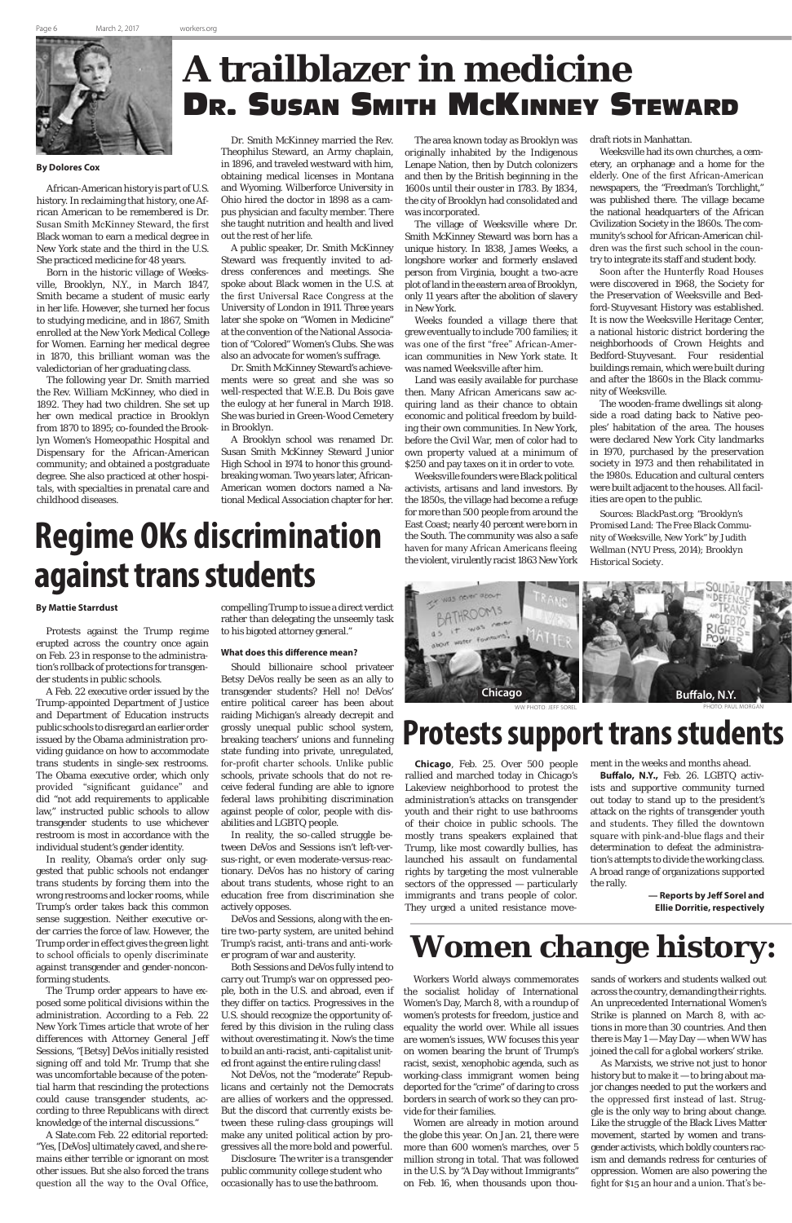

### **A trailblazer in medicine** Dr. Susan Smith McKinney Steward

# **Regime OKs discrimination against trans students**

Workers World always commemorates the socialist holiday of International Women's Day, March 8, with a roundup of women's protests for freedom, justice and equality the world over. While all issues are women's issues, WW focuses this year on women bearing the brunt of Trump's racist, sexist, xenophobic agenda, such as working-class immigrant women being deported for the "crime" of daring to cross borders in search of work so they can provide for their families.

Women are already in motion around the globe this year. On Jan. 21, there were more than 600 women's marches, over 5 million strong in total. That was followed in the U.S. by "A Day without Immigrants" on Feb. 16, when thousands upon thousands of workers and students walked out across the country, demanding their rights. An unprecedented International Women's Strike is planned on March 8, with actions in more than 30 countries. And then there is May  $1 -$  May Day — when WW has joined the call for a global workers' strike. As Marxists, we strive not just to honor history but to make it — to bring about major changes needed to put the workers and the oppressed first instead of last. Struggle is the only way to bring about change. Like the struggle of the Black Lives Matter movement, started by women and transgender activists, which boldly counters racism and demands redress for centuries of oppression. Women are also powering the fight for \$15 an hour and a union. That's be-

**Chicago**, Feb. 25. Over 500 people rallied and marched today in Chicago's Lakeview neighborhood to protest the administration's attacks on transgender youth and their right to use bathrooms of their choice in public schools. The mostly trans speakers explained that Trump, like most cowardly bullies, has launched his assault on fundamental rights by targeting the most vulnerable sectors of the oppressed — particularly immigrants and trans people of color.

They urged a united resistance move-

ment in the weeks and months ahead.

**Buffalo, N.Y.,** Feb. 26. LGBTQ activists and supportive community turned out today to stand up to the president's attack on the rights of transgender youth and students. They filled the downtown square with pink-and-blue flags and their determination to defeat the administration's attempts to divide the working class. A broad range of organizations supported the rally.

#### **— Reports by Jeff Sorel and**

**Ellie Dorritie, respectively**

### **Women change history:**

PHOTO: PAUL MORGAN

#### **By Mattie Starrdust**

Protests against the Trump regime erupted across the country once again on Feb. 23 in response to the administration's rollback of protections for transgender students in public schools.

A Feb. 22 executive order issued by the Trump-appointed Department of Justice and Department of Education instructs public schools to disregard an earlier order issued by the Obama administration providing guidance on how to accommodate trans students in single-sex restrooms. The Obama executive order, which only provided "significant guidance" and did "not add requirements to applicable law," instructed public schools to allow transgender students to use whichever restroom is most in accordance with the individual student's gender identity.

In reality, Obama's order only suggested that public schools not endanger trans students by forcing them into the wrong restrooms and locker rooms, while Trump's order takes back this common sense suggestion. Neither executive order carries the force of law. However, the Trump order in effect gives the green light to school officials to openly discriminate against transgender and gender-nonconforming students. The Trump order appears to have exposed some political divisions within the administration. According to a Feb. 22 New York Times article that wrote of her differences with Attorney General Jeff Sessions, "[Betsy] DeVos initially resisted signing off and told Mr. Trump that she was uncomfortable because of the potential harm that rescinding the protections could cause transgender students, according to three Republicans with direct knowledge of the internal discussions."

A Slate.com Feb. 22 editorial reported: "Yes, [DeVos] ultimately caved, and she remains either terrible or ignorant on most other issues. But she also forced the trans question all the way to the Oval Office,

compelling Trump to issue a direct verdict rather than delegating the unseemly task to his bigoted attorney general."

#### **What does this difference mean?**

Land was easily available for purchase then. Many African Americans saw acquiring land as their chance to obtain economic and political freedom by building their own communities. In New York, before the Civil War, men of color had to own property valued at a minimum of \$250 and pay taxes on it in order to vote.

Should billionaire school privateer Betsy DeVos really be seen as an ally to transgender students? Hell no! DeVos' entire political career has been about raiding Michigan's already decrepit and grossly unequal public school system, breaking teachers' unions and funneling state funding into private, unregulated, for-profit charter schools. Unlike public schools, private schools that do not receive federal funding are able to ignore federal laws prohibiting discrimination against people of color, people with disabilities and LGBTQ people.

In reality, the so-called struggle between DeVos and Sessions isn't left-versus-right, or even moderate-versus-reactionary. DeVos has no history of caring about trans students, whose right to an education free from discrimination she

actively opposes.

DeVos and Sessions, along with the entire two-party system, are united behind Trump's racist, anti-trans and anti-worker program of war and austerity.

Both Sessions and DeVos fully intend to carry out Trump's war on oppressed people, both in the U.S. and abroad, even if they differ on tactics. Progressives in the U.S. should recognize the opportunity offered by this division in the ruling class without overestimating it. Now's the time to build an anti-racist, anti-capitalist united front against the entire ruling class!

Not DeVos, not the "moderate" Republicans and certainly not the Democrats are allies of workers and the oppressed. But the discord that currently exists between these ruling-class groupings will make any united political action by progressives all the more bold and powerful.

*Disclosure: The writer is a transgender public community college student who occasionally has to use the bathroom.*

### **Protests support trans students**

#### **By Dolores Cox**

African-American history is part of U.S. history. In reclaiming that history, one African American to be remembered is Dr. Susan Smith McKinney Steward, the first Black woman to earn a medical degree in New York state and the third in the U.S. She practiced medicine for 48 years.

Born in the historic village of Weeksville, Brooklyn, N.Y., in March 1847, Smith became a student of music early in her life. However, she turned her focus to studying medicine, and in 1867, Smith enrolled at the New York Medical College for Women. Earning her medical degree in 1870, this brilliant woman was the valedictorian of her graduating class.

The following year Dr. Smith married the Rev. William McKinney, who died in 1892. They had two children. She set up her own medical practice in Brooklyn from 1870 to 1895; co-founded the Brooklyn Women's Homeopathic Hospital and Dispensary for the African-American community; and obtained a postgraduate degree. She also practiced at other hospitals, with specialties in prenatal care and childhood diseases.

Dr. Smith McKinney married the Rev. Theophilus Steward, an Army chaplain, in 1896, and traveled westward with him, obtaining medical licenses in Montana and Wyoming. Wilberforce University in Ohio hired the doctor in 1898 as a campus physician and faculty member. There she taught nutrition and health and lived out the rest of her life.

A public speaker, Dr. Smith McKinney Steward was frequently invited to address conferences and meetings. She spoke about Black women in the U.S. at the first Universal Race Congress at the University of London in 1911. Three years later she spoke on "Women in Medicine" at the convention of the National Association of "Colored" Women's Clubs. She was also an advocate for women's suffrage.

Dr. Smith McKinney Steward's achievements were so great and she was so well-respected that W.E.B. Du Bois gave the eulogy at her funeral in March 1918. She was buried in Green-Wood Cemetery in Brooklyn.

A Brooklyn school was renamed Dr. Susan Smith McKinney Steward Junior High School in 1974 to honor this groundbreaking woman. Two years later, African-American women doctors named a National Medical Association chapter for her.

The area known today as Brooklyn was originally inhabited by the Indigenous Lenape Nation, then by Dutch colonizers and then by the British beginning in the 1600s until their ouster in 1783. By 1834, the city of Brooklyn had consolidated and was incorporated.



The village of Weeksville where Dr. Smith McKinney Steward was born has a unique history. In 1838, James Weeks, a longshore worker and formerly enslaved person from Virginia, bought a two-acre plot of land in the eastern area of Brooklyn, only 11 years after the abolition of slavery in New York.

Weeks founded a village there that grew eventually to include 700 families; it was one of the first "free" African-American communities in New York state. It was named Weeksville after him.

Weeksville founders were Black political activists, artisans and land investors. By the 1850s, the village had become a refuge for more than 500 people from around the East Coast; nearly 40 percent were born in the South. The community was also a safe haven for many African Americans fleeing the violent, virulently racist 1863 New York draft riots in Manhattan.

Weeksville had its own churches, a cemetery, an orphanage and a home for the elderly. One of the first African-American newspapers, the "Freedman's Torchlight," was published there. The village became the national headquarters of the African Civilization Society in the 1860s. The community's school for African-American children was the first such school in the country to integrate its staff and student body.

Soon after the Hunterfly Road Houses were discovered in 1968, the Society for the Preservation of Weeksville and Bedford-Stuyvesant History was established. It is now the Weeksville Heritage Center, a national historic district bordering the neighborhoods of Crown Heights and Bedford-Stuyvesant. Four residential buildings remain, which were built during and after the 1860s in the Black community of Weeksville.

The wooden-frame dwellings sit alongside a road dating back to Native peoples' habitation of the area. The houses were declared New York City landmarks in 1970, purchased by the preservation society in 1973 and then rehabilitated in the 1980s. Education and cultural centers were built adjacent to the houses. All facilities are open to the public.

*Sources: BlackPast.org; "Brooklyn's Promised Land: The Free Black Community of Weeksville, New York" by Judith Wellman (NYU Press, 2014); Brooklyn Historical Society.*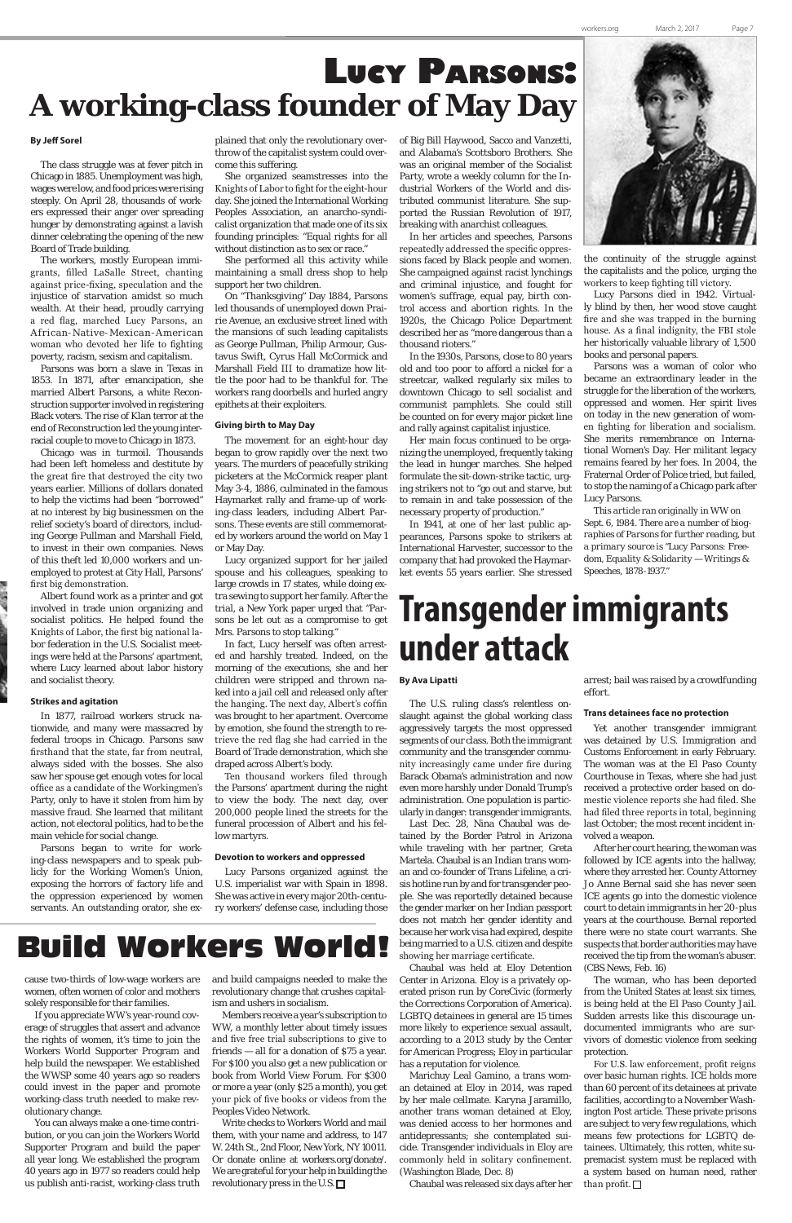### **Women change history:** Build Workers World!

## **Transgender immigrants under attack**

#### **By Ava Lipatti**

The U.S. ruling class's relentless onslaught against the global working class aggressively targets the most oppressed segments of our class. Both the immigrant community and the transgender community increasingly came under fire during Barack Obama's administration and now even more harshly under Donald Trump's administration. One population is particularly in danger: transgender immigrants.

> After her court hearing, the woman was followed by ICE agents into the hallway, where they arrested her. County Attorney Jo Anne Bernal said she has never seen ICE agents go into the domestic violence court to detain immigrants in her 20-plus years at the courthouse. Bernal reported there were no state court warrants. She suspects that border authorities may have received the tip from the woman's abuser. (CBS News, Feb. 16) The woman, who has been deported from the United States at least six times, is being held at the El Paso County Jail. Sudden arrests like this discourage undocumented immigrants who are survivors of domestic violence from seeking protection. For U.S. law enforcement, profit reigns over basic human rights. ICE holds more than 60 percent of its detainees at private facilities, according to a November Washington Post article. These private prisons are subject to very few regulations, which means few protections for LGBTQ detainees. Ultimately, this rotten, white supremacist system must be replaced with a system based on human need, rather than profit.  $\Box$

Last Dec. 28, Nina Chaubal was detained by the Border Patrol in Arizona while traveling with her partner, Greta Martela. Chaubal is an Indian trans woman and co-founder of Trans Lifeline, a crisis hotline run by and for transgender people. She was reportedly detained because the gender marker on her Indian passport does not match her gender identity and because her work visa had expired, despite being married to a U.S. citizen and despite showing her marriage certificate. Chaubal was held at Eloy Detention Center in Arizona. Eloy is a privately operated prison run by CoreCivic (formerly the Corrections Corporation of America). LGBTQ detainees in general are 15 times more likely to experience sexual assault, according to a 2013 study by the Center for American Progress; Eloy in particular has a reputation for violence. Marichuy Leal Gamino, a trans woman detained at Eloy in 2014, was raped by her male cellmate. Karyna Jaramillo, another trans woman detained at Eloy, was denied access to her hormones and antidepressants; she contemplated suicide. Transgender individuals in Eloy are commonly held in solitary confinement. (Washington Blade, Dec. 8)

Chaubal was released six days after her

arrest; bail was raised by a crowdfunding effort.

#### **Trans detainees face no protection**

Yet another transgender immigrant was detained by U.S. Immigration and Customs Enforcement in early February. The woman was at the El Paso County Courthouse in Texas, where she had just received a protective order based on domestic violence reports she had filed. She had filed three reports in total, beginning last October; the most recent incident involved a weapon.

#### **By Jeff Sorel**

The class struggle was at fever pitch in Chicago in 1885. Unemployment was high, wages were low, and food prices were rising steeply. On April 28, thousands of workers expressed their anger over spreading hunger by demonstrating against a lavish dinner celebrating the opening of the new Board of Trade building.

The workers, mostly European immigrants, filled LaSalle Street, chanting against price-fixing, speculation and the injustice of starvation amidst so much wealth. At their head, proudly carrying a red flag, marched Lucy Parsons, an African-Native-Mexican-A merican woman who devoted her life to fighting poverty, racism, sexism and capitalism.

Parsons was born a slave in Texas in 1853. In 1871, after emancipation, she married Albert Parsons, a white Reconstruction supporter involved in registering Black voters. The rise of Klan terror at the end of Reconstruction led the young interracial couple to move to Chicago in 1873.

Chicago was in turmoil. Thousands had been left homeless and destitute by the great fire that destroyed the city two years earlier. Millions of dollars donated to help the victims had been "borrowed" at no interest by big businessmen on the relief society's board of directors, including George Pullman and Marshall Field, to invest in their own companies. News of this theft led 10,000 workers and unemployed to protest at City Hall, Parsons' first big demonstration.

Albert found work as a printer and got involved in trade union organizing and socialist politics. He helped found the Knights of Labor, the first big national labor federation in the U.S. Socialist meetings were held at the Parsons' apartment, where Lucy learned about labor history and socialist theory.

#### **Strikes and agitation**

In 1877, railroad workers struck nationwide, and many were massacred by federal troops in Chicago. Parsons saw firsthand that the state, far from neutral, always sided with the bosses. She also saw her spouse get enough votes for local office as a candidate of the Workingmen's Party, only to have it stolen from him by massive fraud. She learned that militant action, not electoral politics, had to be the main vehicle for social change.

Parsons began to write for working-class newspapers and to speak publicly for the Working Women's Union, exposing the horrors of factory life and the oppression experienced by women

plained that only the revolutionary overthrow of the capitalist system could overcome this suffering.

Write checks to Workers World and mail them, with your name and address, to 147 W. 24th St., 2nd Floor, New York, NY 10011. Or donate online at workers.org/donate/. We are grateful for your help in building the revolutionary press in the U.S.  $\Box$ 

She organized seamstresses into the Knights of Labor to fight for the eight-hour day. She joined the International Working Peoples Association, an anarcho-syndicalist organization that made one of its six founding principles: "Equal rights for all without distinction as to sex or race."

She performed all this activity while maintaining a small dress shop to help support her two children.

On "Thanksgiving" Day 1884, Parsons led thousands of unemployed down Prairie Avenue, an exclusive street lined with the mansions of such leading capitalists as George Pullman, Philip Armour, Gustavus Swift, Cyrus Hall McCormick and Marshall Field III to dramatize how little the poor had to be thankful for. The workers rang doorbells and hurled angry epithets at their exploiters.

#### **Giving birth to May Day**

The movement for an eight-hour day began to grow rapidly over the next two years. The murders of peacefully striking picketers at the McCormick reaper plant May 3-4, 1886, culminated in the famous Haymarket rally and frame-up of working-class leaders, including Albert Parsons. These events are still commemorated by workers around the world on May 1 or May Day.

servants. An outstanding orator, she ex-ry workers' defense case, including those

Lucy organized support for her jailed spouse and his colleagues, speaking to large crowds in 17 states, while doing extra sewing to support her family. After the trial, a New York paper urged that "Parsons be let out as a compromise to get Mrs. Parsons to stop talking."

In fact, Lucy herself was often arrested and harshly treated. Indeed, on the morning of the executions, she and her children were stripped and thrown naked into a jail cell and released only after the hanging. The next day, Albert's coffin was brought to her apartment. Overcome by emotion, she found the strength to retrieve the red flag she had carried in the Board of Trade demonstration, which she draped across Albert's body.

Ten thousand workers filed through the Parsons' apartment during the night to view the body. The next day, over 200,000 people lined the streets for the funeral procession of Albert and his fellow martyrs.

#### **Devotion to workers and oppressed**

Lucy Parsons organized against the U.S. imperialist war with Spain in 1898. She was active in every major 20th-centu-

### **Lucy Parsons: A working-class founder of May Day**

of Big Bill Haywood, Sacco and Vanzetti, and Alabama's Scottsboro Brothers. She was an original member of the Socialist Party, wrote a weekly column for the Industrial Workers of the World and distributed communist literature. She supported the Russian Revolution of 1917, breaking with anarchist colleagues.

In her articles and speeches, Parsons repeatedly addressed the specific oppressions faced by Black people and women. She campaigned against racist lynchings and criminal injustice, and fought for women's suffrage, equal pay, birth control access and abortion rights. In the 1920s, the Chicago Police Department described her as "more dangerous than a thousand rioters."

In the 1930s, Parsons, close to 80 years old and too poor to afford a nickel for a streetcar, walked regularly six miles to downtown Chicago to sell socialist and communist pamphlets. She could still be counted on for every major picket line and rally against capitalist injustice.

Her main focus continued to be organizing the unemployed, frequently taking the lead in hunger marches. She helped formulate the sit-down-strike tactic, urging strikers not to "go out and starve, but to remain in and take possession of the necessary property of production."

In 1941, at one of her last public appearances, Parsons spoke to strikers at International Harvester, successor to the company that had provoked the Haymarket events 55 years earlier. She stressed



the continuity of the struggle against the capitalists and the police, urging the workers to keep fighting till victory.

Lucy Parsons died in 1942. Virtually blind by then, her wood stove caught fire and she was trapped in the burning house. As a final indignity, the FBI stole her historically valuable library of 1,500 books and personal papers.

Parsons was a woman of color who became an extraordinary leader in the struggle for the liberation of the workers, oppressed and women. Her spirit lives on today in the new generation of women fighting for liberation and socialism. She merits remembrance on International Women's Day. Her militant legacy remains feared by her foes. In 2004, the Fraternal Order of Police tried, but failed, to stop the naming of a Chicago park after Lucy Parsons.

*This article ran originally in WW on Sept. 6, 1984. There are a number of biographies of Parsons for further reading, but a primary source is "Lucy Parsons: Freedom, Equality & Solidarity — Writings & Speeches, 1878-1937."*

cause two-thirds of low-wage workers are women, often women of color and mothers solely responsible for their families.

If you appreciate WW's year-round coverage of struggles that assert and advance the rights of women, it's time to join the Workers World Supporter Program and help build the newspaper. We established the WWSP some 40 years ago so readers could invest in the paper and promote working-class truth needed to make revolutionary change.

You can always make a one-time contribution, or you can join the Workers World Supporter Program and build the paper all year long. We established the program 40 years ago in 1977 so readers could help us publish anti-racist, working-class truth and build campaigns needed to make the revolutionary change that crushes capitalism and ushers in socialism.

Members receive a year's subscription to WW, a monthly letter about timely issues and five free trial subscriptions to give to friends — all for a donation of \$75 a year. For \$100 you also get a new publication or book from World View Forum. For \$300 or more a year (only \$25 a month), you get your pick of five books or videos from the Peoples Video Network.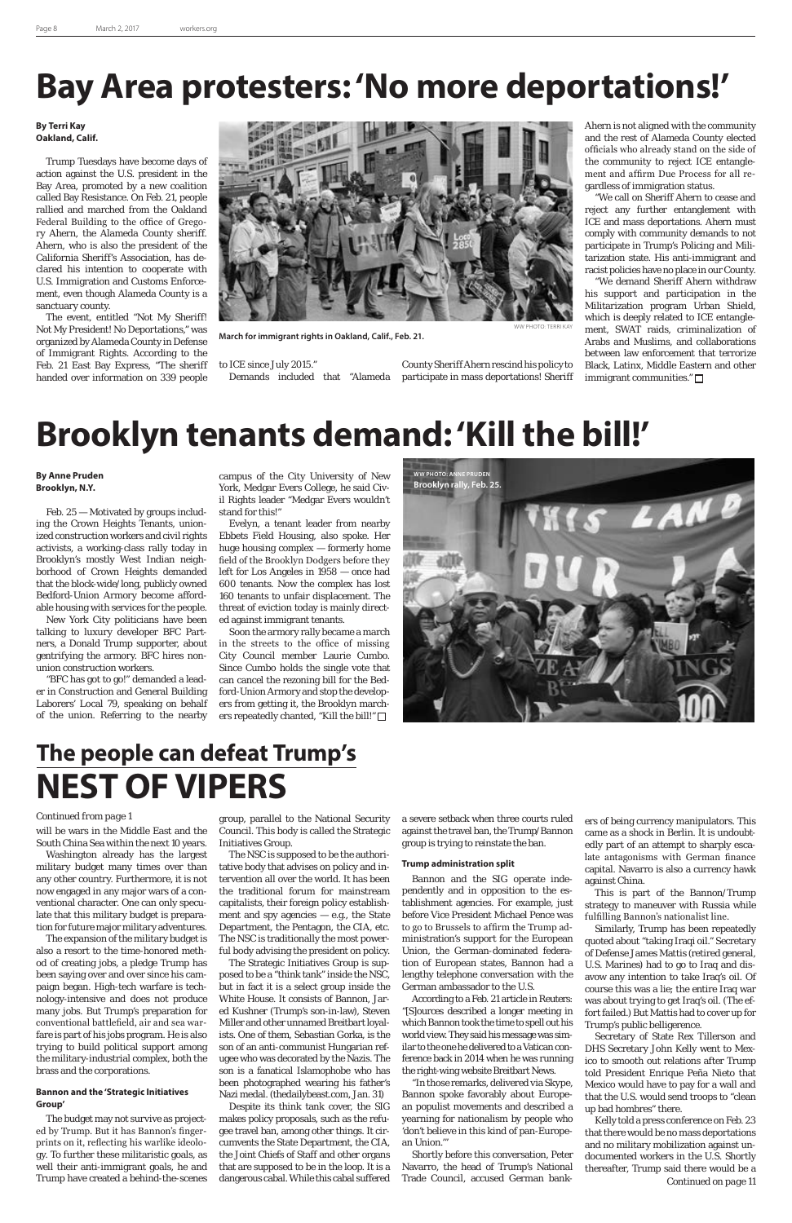group, parallel to the National Security Council. This body is called the Strategic Initiatives Group.

The NSC is supposed to be the authoritative body that advises on policy and intervention all over the world. It has been the traditional forum for mainstream capitalists, their foreign policy establishment and spy agencies — e.g., the State Department, the Pentagon, the CIA, etc. The NSC is traditionally the most powerful body advising the president on policy. The Strategic Initiatives Group is supposed to be a "think tank" inside the NSC, but in fact it is a select group inside the White House. It consists of Bannon, Jared Kushner (Trump's son-in-law), Steven Miller and other unnamed Breitbart loyalists. One of them, Sebastian Gorka, is the son of an anti-communist Hungarian refugee who was decorated by the Nazis. The son is a fanatical Islamophobe who has been photographed wearing his father's Nazi medal. (thedailybeast.com, Jan. 31) Despite its think tank cover, the SIG makes policy proposals, such as the refugee travel ban, among other things. It circumvents the State Department, the CIA, the Joint Chiefs of Staff and other organs that are supposed to be in the loop. It is a dangerous cabal. While this cabal suffered a severe setback when three courts ruled against the travel ban, the Trump/Bannon group is trying to reinstate the ban.

#### **Trump administration split**

Bannon and the SIG operate independently and in opposition to the es-

tablishment agencies. For example, just before Vice President Michael Pence was to go to Brussels to affirm the Trump administration's support for the European Union, the German-dominated federation of European states, Bannon had a lengthy telephone conversation with the German ambassador to the U.S.

According to a Feb. 21 article in Reuters: "[S]ources described a longer meeting in which Bannon took the time to spell out his world view. They said his message was similar to the one he delivered to a Vatican conference back in 2014 when he was running the right-wing website Breitbart News.

"In those remarks, delivered via Skype, Bannon spoke favorably about European populist movements and described a yearning for nationalism by people who 'don't believe in this kind of pan-European Union.'"

Shortly before this conversation, Peter Navarro, the head of Trump's National Trade Council, accused German bank-

#### **By Anne Pruden Brooklyn, N.Y.**

Feb. 25 — Motivated by groups including the Crown Heights Tenants, unionized construction workers and civil rights activists, a working-class rally today in Brooklyn's mostly West Indian neighborhood of Crown Heights demanded that the block-wide/long, publicly owned Bedford-Union Armory become affordable housing with services for the people.

> Soon the armory rally became a march in the streets to the office of missing City Council member Laurie Cumbo. Since Cumbo holds the single vote that can cancel the rezoning bill for the Bedford-Union Armory and stop the developers from getting it, the Brooklyn marchers repeatedly chanted, "Kill the bill!" □

New York City politicians have been talking to luxury developer BFC Partners, a Donald Trump supporter, about gentrifying the armory. BFC hires nonunion construction workers.

"BFC has got to go!" demanded a leader in Construction and General Building Laborers' Local 79, speaking on behalf of the union. Referring to the nearby

# **Bay Area protesters: 'No more deportations!'**

#### **By Terri Kay Oakland, Calif.**

Trump Tuesdays have become days of action against the U.S. president in the Bay Area, promoted by a new coalition called Bay Resistance. On Feb. 21, people rallied and marched from the Oakland Federal Building to the office of Gregory Ahern, the Alameda County sheriff. Ahern, who is also the president of the California Sheriff's Association, has declared his intention to cooperate with U.S. Immigration and Customs Enforcement, even though Alameda County is a sanctuary county.

The event, entitled "Not My Sheriff! Not My President! No Deportations," was organized by Alameda County in Defense of Immigrant Rights. According to the Feb. 21 East Bay Express, "The sheriff handed over information on 339 people

to ICE since July 2015." Demands included that "Alameda



**March for immigrant rights in Oakland, Calif., Feb. 21.**

County Sheriff Ahern rescind his policy to participate in mass deportations! Sheriff

Ahern is not aligned with the community and the rest of Alameda County elected officials who already stand on the side of the community to reject ICE entanglement and affirm Due Process for all regardless of immigration status.

"We call on Sheriff Ahern to cease and reject any further entanglement with ICE and mass deportations. Ahern must comply with community demands to not participate in Trump's Policing and Militarization state. His anti-immigrant and racist policies have no place in our County.

"We demand Sheriff Ahern withdraw his support and participation in the Militarization program Urban Shield, which is deeply related to ICE entanglement, SWAT raids, criminalization of Arabs and Muslims, and collaborations between law enforcement that terrorize Black, Latinx, Middle Eastern and other immigrant communities."

### **Brooklyn tenants demand: 'Kill the bill!'**

campus of the City University of New York, Medgar Evers College, he said Civil Rights leader "Medgar Evers wouldn't stand for this!"

Evelyn, a tenant leader from nearby Ebbets Field Housing, also spoke. Her huge housing complex — formerly home field of the Brooklyn Dodgers before they left for Los Angeles in 1958 — once had 600 tenants. Now the complex has lost 160 tenants to unfair displacement. The threat of eviction today is mainly directed against immigrant tenants.



ers of being currency manipulators. This came as a shock in Berlin. It is undoubtedly part of an attempt to sharply escalate antagonisms with German finance capital. Navarro is also a currency hawk against China.

This is part of the Bannon/Trump

strategy to maneuver with Russia while fulfilling Bannon's nationalist line.

Similarly, Trump has been repeatedly quoted about "taking Iraqi oil." Secretary of Defense James Mattis (retired general, U.S. Marines) had to go to Iraq and disavow any intention to take Iraq's oil. Of course this was a lie; the entire Iraq war was about trying to get Iraq's oil. (The effort failed.) But Mattis had to cover up for Trump's public belligerence.

Secretary of State Rex Tillerson and DHS Secretary John Kelly went to Mexico to smooth out relations after Trump told President Enrique Peña Nieto that Mexico would have to pay for a wall and that the U.S. would send troops to "clean up bad hombres" there.

### **The people can defeat Trump's NEST OF VIPERS**

will be wars in the Middle East and the South China Sea within the next 10 years.

Washington already has the largest military budget many times over than any other country. Furthermore, it is not now engaged in any major wars of a conventional character. One can only speculate that this military budget is preparation for future major military adventures. The expansion of the military budget is also a resort to the time-honored method of creating jobs, a pledge Trump has been saying over and over since his campaign began. High-tech warfare is technology-intensive and does not produce many jobs. But Trump's preparation for conventional battlefield, air and sea warfare is part of his jobs program. He is also trying to build political support among the military-industrial complex, both the brass and the corporations.

> Kelly told a press conference on Feb. 23 that there would be no mass deportations and no military mobilization against undocumented workers in the U.S. Shortly thereafter, Trump said there would be a *Continued on page 11*

#### **Bannon and the 'Strategic Initiatives Group'**

The budget may not survive as projected by Trump. But it has Bannon's fingerprints on it, reflecting his warlike ideology. To further these militaristic goals, as well their anti-immigrant goals, he and Trump have created a behind-the-scenes

#### *Continued from page 1*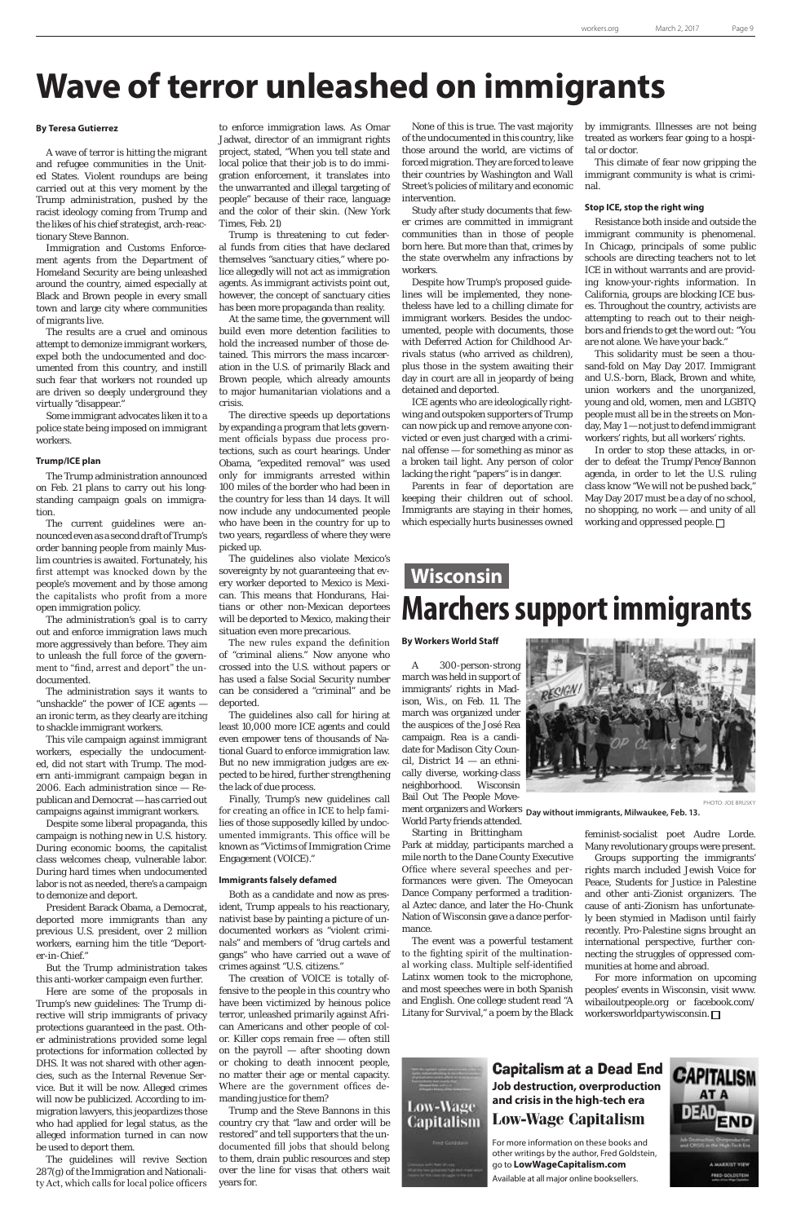## **Wave of terror unleashed on immigrants**

#### **By Teresa Gutierrez**

A wave of terror is hitting the migrant and refugee communities in the United States. Violent roundups are being carried out at this very moment by the Trump administration, pushed by the racist ideology coming from Trump and the likes of his chief strategist, arch-reactionary Steve Bannon.

Immigration and Customs Enforcement agents from the Department of Homeland Security are being unleashed around the country, aimed especially at Black and Brown people in every small town and large city where communities of migrants live.

The results are a cruel and ominous attempt to demonize immigrant workers, expel both the undocumented and documented from this country, and instill such fear that workers not rounded up are driven so deeply underground they virtually "disappear."

Some immigrant advocates liken it to a police state being imposed on immigrant workers.

#### **Trump/ICE plan**

The Trump administration announced on Feb. 21 plans to carry out his longstanding campaign goals on immigration.

The current guidelines were announced even as a second draft of Trump's order banning people from mainly Muslim countries is awaited. Fortunately, his first attempt was knocked down by the people's movement and by those among the capitalists who profit from a more open immigration policy.

The administration's goal is to carry out and enforce immigration laws much more aggressively than before. They aim to unleash the full force of the government to "find, arrest and deport" the undocumented.

The administration says it wants to "unshackle" the power of ICE agents an ironic term, as they clearly are itching to shackle immigrant workers.

This vile campaign against immigrant workers, especially the undocumented, did not start with Trump. The modern anti-immigrant campaign began in 2006. Each administration since — Republican and Democrat — has carried out campaigns against immigrant workers.

Despite some liberal propaganda, this campaign is nothing new in U.S. history. During economic booms, the capitalist class welcomes cheap, vulnerable labor. During hard times when undocumented labor is not as needed, there's a campaign to demonize and deport.

President Barack Obama, a Democrat, deported more immigrants than any previous U.S. president, over 2 million workers, earning him the title "Deporter-in-Chief."

But the Trump administration takes this anti-worker campaign even further.

Here are some of the proposals in Trump's new guidelines: The Trump directive will strip immigrants of privacy protections guaranteed in the past. Other administrations provided some legal protections for information collected by DHS. It was not shared with other agencies, such as the Internal Revenue Service. But it will be now. Alleged crimes will now be publicized. According to immigration lawyers, this jeopardizes those who had applied for legal status, as the alleged information turned in can now be used to deport them.

The guidelines will revive Section 287(g) of the Immigration and Nationality Act, which calls for local police officers

to enforce immigration laws. As Omar Jadwat, director of an immigrant rights project, stated, "When you tell state and local police that their job is to do immigration enforcement, it translates into the unwarranted and illegal targeting of people" because of their race, language and the color of their skin. (New York Times, Feb. 21)

Trump is threatening to cut federal funds from cities that have declared themselves "sanctuary cities," where police allegedly will not act as immigration agents. As immigrant activists point out, however, the concept of sanctuary cities has been more propaganda than reality.

At the same time, the government will build even more detention facilities to hold the increased number of those detained. This mirrors the mass incarceration in the U.S. of primarily Black and Brown people, which already amounts to major humanitarian violations and a crisis.

The directive speeds up deportations by expanding a program that lets government officials bypass due process protections, such as court hearings. Under Obama, "expedited removal" was used only for immigrants arrested within 100 miles of the border who had been in the country for less than 14 days. It will now include any undocumented people who have been in the country for up to two years, regardless of where they were picked up.

In order to stop these attacks, in order to defeat the Trump/Pence/Bannon agenda, in order to let the U.S. ruling class know "We will not be pushed back," May Day 2017 must be a day of no school, no shopping, no work — and unity of all working and oppressed people.  $\square$ 

The guidelines also violate Mexico's sovereignty by not guaranteeing that every worker deported to Mexico is Mexican. This means that Hondurans, Haitians or other non-Mexican deportees will be deported to Mexico, making their situation even more precarious.

The new rules expand the definition of "criminal aliens." Now anyone who crossed into the U.S. without papers or has used a false Social Security number can be considered a "criminal" and be deported.

The guidelines also call for hiring at least 10,000 more ICE agents and could even empower tens of thousands of National Guard to enforce immigration law. But no new immigration judges are expected to be hired, further strengthening the lack of due process.

Finally, Trump's new guidelines call for creating an office in ICE to help families of those supposedly killed by undocumented immigrants. This office will be known as "Victims of Immigration Crime Engagement (VOICE)."

#### **Immigrants falsely defamed**

Both as a candidate and now as pres-

ident, Trump appeals to his reactionary, nativist base by painting a picture of undocumented workers as "violent criminals" and members of "drug cartels and gangs" who have carried out a wave of crimes against "U.S. citizens."

The creation of VOICE is totally offensive to the people in this country who have been victimized by heinous police terror, unleashed primarily against African Americans and other people of color. Killer cops remain free — often still on the payroll — after shooting down or choking to death innocent people, no matter their age or mental capacity. Where are the government offices demanding justice for them?

Trump and the Steve Bannons in this country cry that "law and order will be restored" and tell supporters that the undocumented fill jobs that should belong to them, drain public resources and step over the line for visas that others wait years for.

None of this is true. The vast majority of the undocumented in this country, like those around the world, are victims of forced migration. They are forced to leave their countries by Washington and Wall Street's policies of military and economic intervention.

Study after study documents that fewer crimes are committed in immigrant communities than in those of people born here. But more than that, crimes by the state overwhelm any infractions by workers.

Despite how Trump's proposed guidelines will be implemented, they nonetheless have led to a chilling climate for immigrant workers. Besides the undocumented, people with documents, those with Deferred Action for Childhood Arrivals status (who arrived as children), plus those in the system awaiting their day in court are all in jeopardy of being detained and deported.

ICE agents who are ideologically rightwing and outspoken supporters of Trump can now pick up and remove anyone convicted or even just charged with a criminal offense — for something as minor as a broken tail light. Any person of color lacking the right "papers" is in danger.

Parents in fear of deportation are keeping their children out of school. Immigrants are staying in their homes, which especially hurts businesses owned

by immigrants. Illnesses are not being treated as workers fear going to a hospital or doctor.

This climate of fear now gripping the immigrant community is what is criminal.

#### **Stop ICE, stop the right wing**

Resistance both inside and outside the immigrant community is phenomenal. In Chicago, principals of some public schools are directing teachers not to let ICE in without warrants and are providing know-your-rights information. In California, groups are blocking ICE buses. Throughout the country, activists are attempting to reach out to their neighbors and friends to get the word out: "You are not alone. We have your back."

This solidarity must be seen a thousand-fold on May Day 2017. Immigrant and U.S.-born, Black, Brown and white, union workers and the unorganized, young and old, women, men and LGBTQ people must all be in the streets on Monday, May 1 — not just to defend immigrant workers' rights, but all workers' rights.

#### **By Workers World Staff**

World Party friends attended. Starting in Brittingham

Park at midday, participants marched a mile north to the Dane County Executive Office where several speeches and performances were given. The Omeyocan Dance Company performed a traditional Aztec dance, and later the Ho-Chunk Nation of Wisconsin gave a dance performance. The event was a powerful testament to the fighting spirit of the multinational working class. Multiple self-identified Latinx women took to the microphone, and most speeches were in both Spanish and English. One college student read "A Litany for Survival," a poem by the Black



PHOTO: JOE BRUSKY

A 300-person-strong march was held in support of immigrants' rights in Madison, Wis., on Feb. 11. The march was organized under the auspices of the José Rea campaign. Rea is a candidate for Madison City Council, District 14 — an ethnically diverse, working-class neighborhood. Wisconsin Bail Out The People Movement organizers and Workers **Day without immigrants, Milwaukee, Feb. 13.**

> feminist-socialist poet Audre Lorde. Many revolutionary groups were present.

Groups supporting the immigrants' rights march included Jewish Voice for Peace, Students for Justice in Palestine and other anti-Zionist organizers. The cause of anti-Zionism has unfortunately been stymied in Madison until fairly recently. Pro-Palestine signs brought an international perspective, further connecting the struggles of oppressed communities at home and abroad.

For more information on upcoming peoples' events in Wisconsin, visit www. wibailoutpeople.org or facebook.com/ workersworldpartywisconsin.



### **Wisconsin Marchers support immigrants**

#### Capitalism at a Dead End **Job destruction, overproduction and crisis in the high-tech era Low-Wage Capitalism**

For more information on these books and other writings by the author, Fred Goldstein, go to **LowWageCapitalism.com**

Available at all major online booksellers.

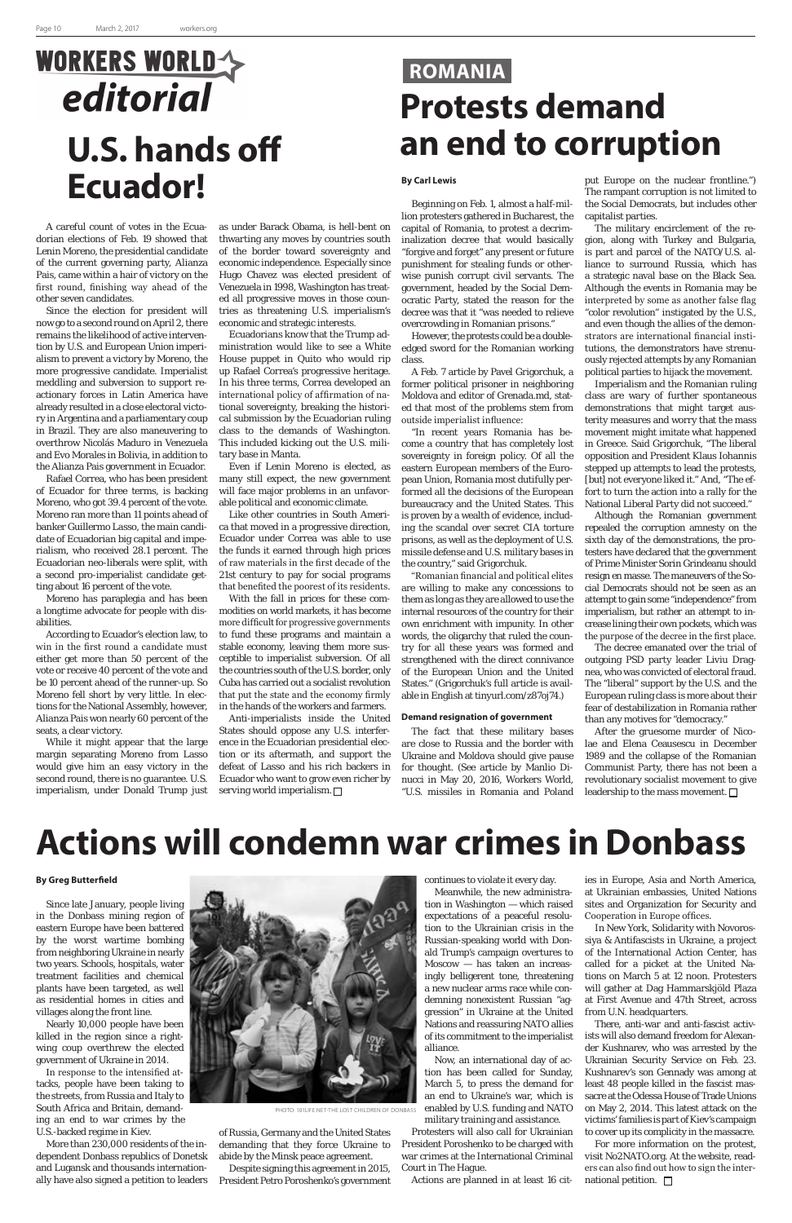# **WORKERS WORLD** editorial **U.S. hands off Ecuador!**

### **ROMANIA Protests demand an end to corruption**

A careful count of votes in the Ecuadorian elections of Feb. 19 showed that Lenin Moreno, the presidential candidate of the current governing party, Alianza Pais, came within a hair of victory on the first round, finishing way ahead of the other seven candidates.

Since the election for president will now go to a second round on April 2, there remains the likelihood of active intervention by U.S. and European Union imperialism to prevent a victory by Moreno, the more progressive candidate. Imperialist meddling and subversion to support reactionary forces in Latin America have already resulted in a close electoral victory in Argentina and a parliamentary coup in Brazil. They are also maneuvering to overthrow Nicolás Maduro in Venezuela and Evo Morales in Bolivia, in addition to the Alianza Pais government in Ecuador.

Rafael Correa, who has been president of Ecuador for three terms, is backing Moreno, who got 39.4 percent of the vote. Moreno ran more than 11 points ahead of banker Guillermo Lasso, the main candidate of Ecuadorian big capital and imperialism, who received 28.1 percent. The Ecuadorian neo-liberals were split, with a second pro-imperialist candidate getting about 16 percent of the vote.

Moreno has paraplegia and has been a longtime advocate for people with disabilities.

According to Ecuador's election law, to win in the first round a candidate must either get more than 50 percent of the vote or receive 40 percent of the vote and be 10 percent ahead of the runner-up. So Moreno fell short by very little. In elections for the National Assembly, however, Alianza Pais won nearly 60 percent of the seats, a clear victory.

Anti-imperialists inside the United States should oppose any U.S. interference in the Ecuadorian presidential election or its aftermath, and support the defeat of Lasso and his rich backers in Ecuador who want to grow even richer by serving world imperialism.  $\Box$ 

While it might appear that the large margin separating Moreno from Lasso would give him an easy victory in the second round, there is no guarantee. U.S. imperialism, under Donald Trump just

as under Barack Obama, is hell-bent on thwarting any moves by countries south of the border toward sovereignty and economic independence. Especially since Hugo Chavez was elected president of Venezuela in 1998, Washington has treated all progressive moves in those countries as threatening U.S. imperialism's economic and strategic interests.

Ecuadorians know that the Trump administration would like to see a White House puppet in Quito who would rip up Rafael Correa's progressive heritage. In his three terms, Correa developed an international policy of affirmation of national sovereignty, breaking the historical submission by the Ecuadorian ruling class to the demands of Washington. This included kicking out the U.S. military base in Manta.

Even if Lenin Moreno is elected, as many still expect, the new government will face major problems in an unfavorable political and economic climate.

Like other countries in South America that moved in a progressive direction, Ecuador under Correa was able to use the funds it earned through high prices of raw materials in the first decade of the 21st century to pay for social programs that benefited the poorest of its residents.

With the fall in prices for these commodities on world markets, it has become more difficult for progressive governments to fund these programs and maintain a stable economy, leaving them more susceptible to imperialist subversion. Of all the countries south of the U.S. border, only Cuba has carried out a socialist revolution that put the state and the economy firmly in the hands of the workers and farmers.

> After the gruesome murder of Nicolae and Elena Ceausescu in December 1989 and the collapse of the Romanian Communist Party, there has not been a revolutionary socialist movement to give leadership to the mass movement.  $\square$

#### **By Carl Lewis**

Beginning on Feb. 1, almost a half-million protesters gathered in Bucharest, the capital of Romania, to protest a decriminalization decree that would basically "forgive and forget" any present or future punishment for stealing funds or otherwise punish corrupt civil servants. The government, headed by the Social Democratic Party, stated the reason for the decree was that it "was needed to relieve overcrowding in Romanian prisons."

However, the protests could be a doubleedged sword for the Romanian working class.

A Feb. 7 article by Pavel Grigorchuk, a former political prisoner in neighboring Moldova and editor of Grenada.md, stated that most of the problems stem from outside imperialist influence:

"In recent years Romania has become a country that has completely lost sovereignty in foreign policy. Of all the eastern European members of the European Union, Romania most dutifully performed all the decisions of the European bureaucracy and the United States. This is proven by a wealth of evidence, including the scandal over secret CIA torture prisons, as well as the deployment of U.S. missile defense and U.S. military bases in the country," said Grigorchuk.

"Romanian financial and political elites are willing to make any concessions to them as long as they are allowed to use the internal resources of the country for their own enrichment with impunity. In other words, the oligarchy that ruled the country for all these years was formed and strengthened with the direct connivance of the European Union and the United States." (Grigorchuk's full article is available in English at tinyurl.com/z87oj74.)

> For more information on the protest, visit No2NATO.org. At the website, readers can also find out how to sign the international petition.  $\square$

#### **Demand resignation of government**

The fact that these military bases are close to Russia and the border with Ukraine and Moldova should give pause for thought. (See article by Manlio Dinucci in May 20, 2016, Workers World, "U.S. missiles in Romania and Poland

put Europe on the nuclear frontline.") The rampant corruption is not limited to the Social Democrats, but includes other capitalist parties.

The military encirclement of the region, along with Turkey and Bulgaria, is part and parcel of the NATO/U.S. alliance to surround Russia, which has a strategic naval base on the Black Sea. Although the events in Romania may be interpreted by some as another false flag "color revolution" instigated by the U.S., and even though the allies of the demonstrators are international financial institutions, the demonstrators have strenuously rejected attempts by any Romanian political parties to hijack the movement.

Imperialism and the Romanian ruling class are wary of further spontaneous demonstrations that might target austerity measures and worry that the mass movement might imitate what happened in Greece. Said Grigorchuk, "The liberal opposition and President Klaus Iohannis stepped up attempts to lead the protests, [but] not everyone liked it." And, "The effort to turn the action into a rally for the National Liberal Party did not succeed."

Although the Romanian government repealed the corruption amnesty on the sixth day of the demonstrations, the protesters have declared that the government of Prime Minister Sorin Grindeanu should resign en masse. The maneuvers of the Social Democrats should not be seen as an attempt to gain some "independence" from imperialism, but rather an attempt to increase lining their own pockets, which was the purpose of the decree in the first place.

The decree emanated over the trial of outgoing PSD party leader Liviu Dragnea, who was convicted of electoral fraud. The "liberal" support by the U.S. and the European ruling class is more about their fear of destabilization in Romania rather than any motives for "democracy."

# **Actions will condemn war crimes in Donbass**



Since late January, people living in the Donbass mining region of eastern Europe have been battered by the worst wartime bombing from neighboring Ukraine in nearly two years. Schools, hospitals, water treatment facilities and chemical plants have been targeted, as well as residential homes in cities and villages along the front line.

Nearly 10,000 people have been killed in the region since a rightwing coup overthrew the elected government of Ukraine in 2014.

In response to the intensified attacks, people have been taking to the streets, from Russia and Italy to South Africa and Britain, demanding an end to war crimes by the U.S.-backed regime in Kiev.

More than 230,000 residents of the independent Donbass republics of Donetsk and Lugansk and thousands internationally have also signed a petition to leaders

of Russia, Germany and the United States demanding that they force Ukraine to abide by the Minsk peace agreement.

Despite signing this agreement in 2015, President Petro Poroshenko's government continues to violate it every day. Meanwhile, the new administration in Washington — which raised expectations of a peaceful resolution to the Ukrainian crisis in the Russian-speaking world with Donald Trump's campaign overtures to Moscow — has taken an increasingly belligerent tone, threatening a new nuclear arms race while condemning nonexistent Russian "aggression" in Ukraine at the United Nations and reassuring NATO allies of its commitment to the imperialist alliance.

Now, an international day of action has been called for Sunday, March 5, to press the demand for an end to Ukraine's war, which is enabled by U.S. funding and NATO military training and assistance.

Protesters will also call for Ukrainian President Poroshenko to be charged with war crimes at the International Criminal Court in The Hague.

Actions are planned in at least 16 cit-

ies in Europe, Asia and North America, at Ukrainian embassies, United Nations

sites and Organization for Security and Cooperation in Europe offices.

In New York, Solidarity with Novorossiya & Antifascists in Ukraine, a project of the International Action Center, has called for a picket at the United Nations on March 5 at 12 noon. Protesters will gather at Dag Hammarskjöld Plaza at First Avenue and 47th Street, across from U.N. headquarters.

There, anti-war and anti-fascist activists will also demand freedom for Alexander Kushnarev, who was arrested by the Ukrainian Security Service on Feb. 23. Kushnarev's son Gennady was among at least 48 people killed in the fascist massacre at the Odessa House of Trade Unions on May 2, 2014. This latest attack on the victims' families is part of Kiev's campaign to cover up its complicity in the massacre.

PHOTO: 101LIFE.NET-THE LOST CHILDREN OF DONBASS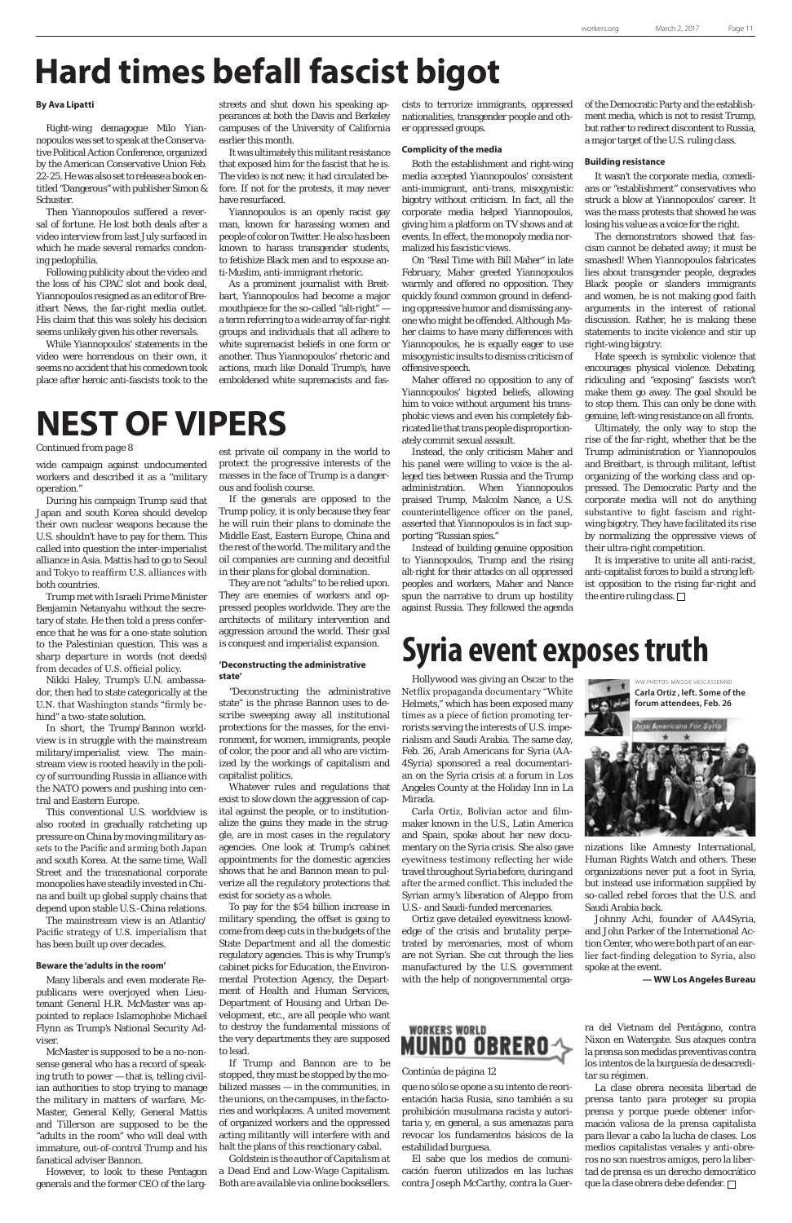# **Hard times befall fascist bigot**

#### **By Ava Lipatti**

Right-wing demagogue Milo Yiannopoulos was set to speak at the Conservative Political Action Conference, organized by the American Conservative Union Feb. 22-25. He was also set to release a book entitled "Dangerous" with publisher Simon & Schuster.

Then Yiannopoulos suffered a reversal of fortune. He lost both deals after a video interview from last July surfaced in which he made several remarks condoning pedophilia.

Following publicity about the video and the loss of his CPAC slot and book deal, Yiannopoulos resigned as an editor of Breitbart News, the far-right media outlet. His claim that this was solely his decision seems unlikely given his other reversals.

While Yiannopoulos' statements in the video were horrendous on their own, it seems no accident that his comedown took place after heroic anti-fascists took to the

streets and shut down his speaking appearances at both the Davis and Berkeley campuses of the University of California earlier this month.

It was ultimately this militant resistance that exposed him for the fascist that he is. The video is not new; it had circulated before. If not for the protests, it may never have resurfaced.

Yiannopoulos is an openly racist gay man, known for harassing women and people of color on Twitter. He also has been known to harass transgender students, to fetishize Black men and to espouse anti-Muslim, anti-immigrant rhetoric.

> It is imperative to unite all anti-racist, anti-capitalist forces to build a strong leftist opposition to the rising far-right and the entire ruling class.  $\Box$

As a prominent journalist with Breitbart, Yiannopoulos had become a major mouthpiece for the so-called "alt-right" a term referring to a wide array of far-right groups and individuals that all adhere to white supremacist beliefs in one form or another. Thus Yiannopoulos' rhetoric and actions, much like Donald Trump's, have emboldened white supremacists and fasof the Democratic Party and the establishment media, which is not to resist Trump, but rather to redirect discontent to Russia, a major target of the U.S. ruling class.

#### **Building resistance**

It wasn't the corporate media, comedians or "establishment" conservatives who struck a blow at Yiannopoulos' career. It was the mass protests that showed he was losing his value as a voice for the right.

The demonstrators showed that fascism cannot be debated away; it must be smashed! When Yiannopoulos fabricates lies about transgender people, degrades Black people or slanders immigrants and women, he is not making good faith arguments in the interest of rational discussion. Rather, he is making these statements to incite violence and stir up right-wing bigotry.

Hate speech is symbolic violence that encourages physical violence. Debating, ridiculing and "exposing" fascists won't make them go away. The goal should be to stop them. This can only be done with genuine, left-wing resistance on all fronts.

Ultimately, the only way to stop the rise of the far-right, whether that be the Trump administration or Yiannopoulos and Breitbart, is through militant, leftist organizing of the working class and oppressed. The Democratic Party and the corporate media will not do anything substantive to fight fascism and rightwing bigotry. They have facilitated its rise by normalizing the oppressive views of their ultra-right competition.

wide campaign against undocumented workers and described it as a "military operation."

During his campaign Trump said that Japan and south Korea should develop their own nuclear weapons because the U.S. shouldn't have to pay for them. This called into question the inter-imperialist alliance in Asia. Mattis had to go to Seoul and Tokyo to reaffirm U.S. alliances with both countries.

Trump met with Israeli Prime Minister Benjamin Netanyahu without the secretary of state. He then told a press conference that he was for a one-state solution to the Palestinian question. This was a sharp departure in words (not deeds) from decades of U.S. official policy.

Nikki Haley, Trump's U.N. ambassador, then had to state categorically at the U.N. that Washington stands "firmly behind" a two-state solution.

In short, the Trump/Bannon worldview is in struggle with the mainstream military/imperialist view. The mainstream view is rooted heavily in the policy of surrounding Russia in alliance with the NATO powers and pushing into central and Eastern Europe.

This conventional U.S. worldview is also rooted in gradually ratcheting up pressure on China by moving military assets to the Pacific and arming both Japan and south Korea. At the same time, Wall Street and the transnational corporate monopolies have steadily invested in China and built up global supply chains that depend upon stable U.S.-China relations.

The mainstream view is an Atlantic/ Pacific strategy of U.S. imperialism that has been built up over decades.

#### **Beware the 'adults in the room'**

Many liberals and even moderate Republicans were overjoyed when Lieutenant General H.R. McMaster was appointed to replace Islamophobe Michael Flynn as Trump's National Security Adviser.

McMaster is supposed to be a no-nonsense general who has a record of speaking truth to power — that is, telling civilian authorities to stop trying to manage the military in matters of warfare. Mc-Master, General Kelly, General Mattis and Tillerson are supposed to be the "adults in the room" who will deal with immature, out-of-control Trump and his fanatical adviser Bannon.

However, to look to these Pentagon generals and the former CEO of the larg-

est private oil company in the world to protect the progressive interests of the masses in the face of Trump is a dangerous and foolish course.

If the generals are opposed to the Trump policy, it is only because they fear he will ruin their plans to dominate the Middle East, Eastern Europe, China and the rest of the world. The military and the oil companies are cunning and deceitful in their plans for global domination.

They are not "adults" to be relied upon. They are enemies of workers and oppressed peoples worldwide. They are the architects of military intervention and aggression around the world. Their goal is conquest and imperialist expansion.

#### **'Deconstructing the administrative state'**

"Deconstructing the administrative state" is the phrase Bannon uses to describe sweeping away all institutional protections for the masses, for the environment, for women, immigrants, people of color, the poor and all who are victimized by the workings of capitalism and capitalist politics.

Whatever rules and regulations that exist to slow down the aggression of capital against the people, or to institutionalize the gains they made in the struggle, are in most cases in the regulatory agencies. One look at Trump's cabinet appointments for the domestic agencies shows that he and Bannon mean to pulverize all the regulatory protections that exist for society as a whole. To pay for the \$54 billion increase in military spending, the offset is going to come from deep cuts in the budgets of the State Department and all the domestic regulatory agencies. This is why Trump's cabinet picks for Education, the Environmental Protection Agency, the Department of Health and Human Services, Department of Housing and Urban Development, etc., are all people who want to destroy the fundamental missions of the very departments they are supposed to lead. If Trump and Bannon are to be stopped, they must be stopped by the mobilized masses — in the communities, in the unions, on the campuses, in the factories and workplaces. A united movement of organized workers and the oppressed acting militantly will interfere with and halt the plans of this reactionary cabal.

*Goldstein is the author of Capitalism at a Dead End and Low-Wage Capitalism. Both are available via online booksellers.*

### **NEST OF VIPERS**

que no sólo se opone a su intento de reorientación hacia Rusia, sino también a su prohibición musulmana racista y autoritaria y, en general, a sus amenazas para revocar los fundamentos básicos de la estabilidad burguesa.

El sabe que los medios de comunicación fueron utilizados en las luchas contra Joseph McCarthy, contra la Guer-

cists to terrorize immigrants, oppressed nationalities, transgender people and other oppressed groups.

#### **Complicity of the media**

Both the establishment and right-wing media accepted Yiannopoulos' consistent anti-immigrant, anti-trans, misogynistic bigotry without criticism. In fact, all the corporate media helped Yiannopoulos, giving him a platform on TV shows and at events. In effect, the monopoly media normalized his fascistic views.

On "Real Time with Bill Maher" in late February, Maher greeted Yiannopoulos warmly and offered no opposition. They quickly found common ground in defending oppressive humor and dismissing anyone who might be offended. Although Maher claims to have many differences with Yiannopoulos, he is equally eager to use misogynistic insults to dismiss criticism of offensive speech.

Maher offered no opposition to any of Yiannopoulos' bigoted beliefs, allowing him to voice without argument his transphobic views and even his completely fabricated lie that trans people disproportionately commit sexual assault.

Instead, the only criticism Maher and his panel were willing to voice is the alleged ties between Russia and the Trump administration. When Yiannopoulos praised Trump, Malcolm Nance, a U.S. counterintelligence officer on the panel, asserted that Yiannopoulos is in fact supporting "Russian spies."

Instead of building genuine opposition to Yiannopoulos, Trump and the rising alt-right for their attacks on all oppressed peoples and workers, Maher and Nance spun the narrative to drum up hostility against Russia. They followed the agenda

Hollywood was giving an Oscar to the Netflix propaganda documentary "White Helmets," which has been exposed many times as a piece of fiction promoting terrorists serving the interests of U.S. imperialism and Saudi Arabia. The same day, Feb. 26, Arab Americans for Syria (AA-4Syria) sponsored a real documentarian on the Syria crisis at a forum in Los Angeles County at the Holiday Inn in La Mirada.

Carla Ortiz, Bolivian actor and filmmaker known in the U.S., Latin America and Spain, spoke about her new documentary on the Syria crisis. She also gave eyewitness testimony reflecting her wide travel throughout Syria before, during and after the armed conflict. This included the Syrian army's liberation of Aleppo from U.S.- and Saudi-funded mercenaries.

Ortiz gave detailed eyewitness knowledge of the crisis and brutality perpetrated by mercenaries, most of whom are not Syrian. She cut through the lies manufactured by the U.S. government with the help of nongovernmental orga-

### **WORKERS WORLD MUNDO OBRERO**

### **Syria event exposes truth**

nizations like Amnesty International, Human Rights Watch and others. These organizations never put a foot in Syria, but instead use information supplied by so-called rebel forces that the U.S. and Saudi Arabia back.

Johnny Achi, founder of AA4Syria, and John Parker of the International Action Center, who were both part of an earlier fact-finding delegation to Syria, also spoke at the event.

**— WW Los Angeles Bureau**



#### *Continued from page 8*

#### *Continúa de página 12*

ra del Vietnam del Pentágono, contra Nixon en Watergate. Sus ataques contra la prensa son medidas preventivas contra los intentos de la burguesía de desacreditar su régimen.

La clase obrera necesita libertad de prensa tanto para proteger su propia prensa y porque puede obtener información valiosa de la prensa capitalista para llevar a cabo la lucha de clases. Los medios capitalistas venales y anti-obreros no son nuestros amigos, pero la libertad de prensa es un derecho democrático que la clase obrera debe defender.